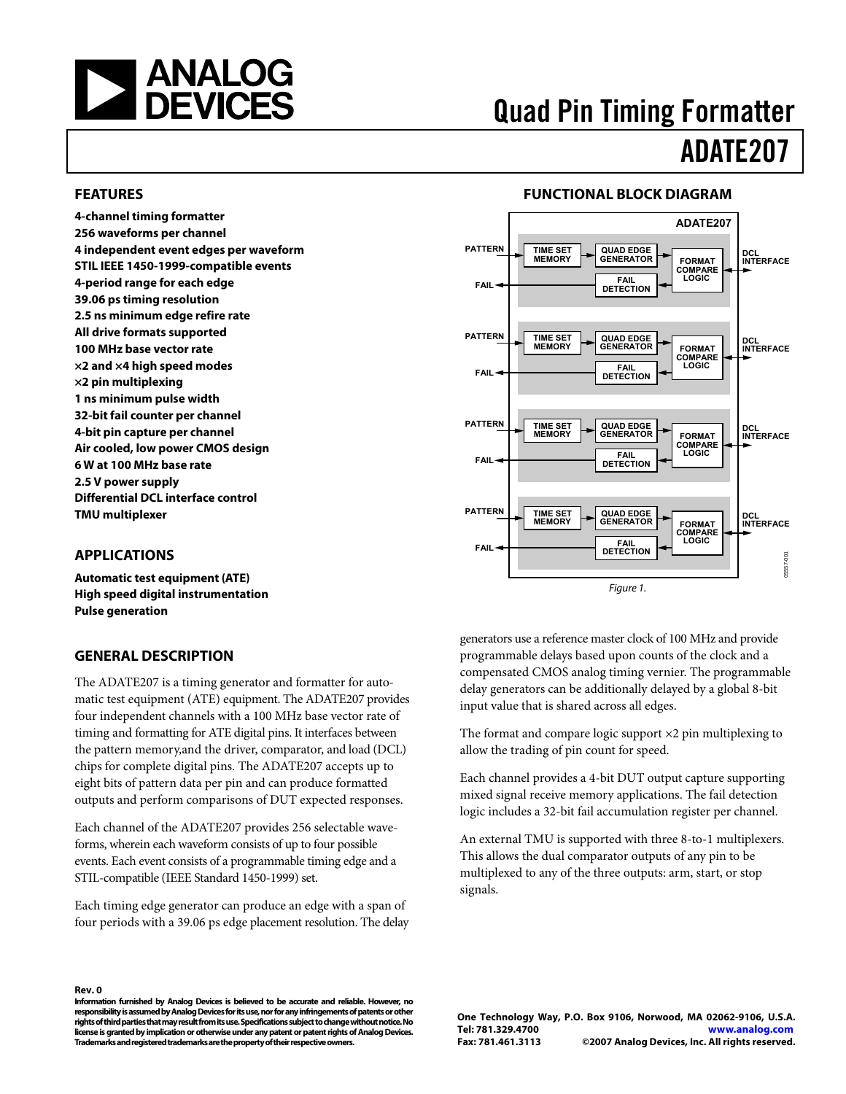<span id="page-0-0"></span>

# Quad Pin Timing Formatter ADATE207

#### **FEATURES**

**4-channel timing formatter 256 waveforms per channel 4 independent event edges per waveform STIL IEEE 1450-1999-compatible events 4-period range for each edge 39.06 ps timing resolution 2.5 ns minimum edge refire rate All drive formats supported 100 MHz base vector rate ×2 and ×4 high speed modes ×2 pin multiplexing 1 ns minimum pulse width 32-bit fail counter per channel 4-bit pin capture per channel Air cooled, low power CMOS design 6 W at 100 MHz base rate 2.5 V power supply Differential DCL interface control TMU multiplexer** 

#### **APPLICATIONS**

**Automatic test equipment (ATE) High speed digital instrumentation Pulse generation** 

#### **GENERAL DESCRIPTION**

The ADATE207 is a timing generator and formatter for automatic test equipment (ATE) equipment. The ADATE207 provides four independent channels with a 100 MHz base vector rate of timing and formatting for ATE digital pins. It interfaces between the pattern memory,and the driver, comparator, and load (DCL) chips for complete digital pins. The ADATE207 accepts up to eight bits of pattern data per pin and can produce formatted outputs and perform comparisons of DUT expected responses.

Each channel of the ADATE207 provides 256 selectable waveforms, wherein each waveform consists of up to four possible events. Each event consists of a programmable timing edge and a STIL-compatible (IEEE Standard 1450-1999) set.

Each timing edge generator can produce an edge with a span of four periods with a 39.06 ps edge placement resolution. The delay

#### **FUNCTIONAL BLOCK DIAGRAM**



generators use a reference master clock of 100 MHz and provide programmable delays based upon counts of the clock and a compensated CMOS analog timing vernier. The programmable delay generators can be additionally delayed by a global 8-bit input value that is shared across all edges.

The format and compare logic support ×2 pin multiplexing to allow the trading of pin count for speed.

Each channel provides a 4-bit DUT output capture supporting mixed signal receive memory applications. The fail detection logic includes a 32-bit fail accumulation register per channel.

An external TMU is supported with three 8-to-1 multiplexers. This allows the dual comparator outputs of any pin to be multiplexed to any of the three outputs: arm, start, or stop signals.

#### **Rev. 0**

**Information furnished by Analog Devices is believed to be accurate and reliable. However, no responsibility is assumed by Analog Devices for its use, nor for any infringements of patents or other rights of third parties that may result from its use. Specifications subject to change without notice. No license is granted by implication or otherwise under any patent or patent rights of Analog Devices. Trademarks and registered trademarks are the property of their respective owners.**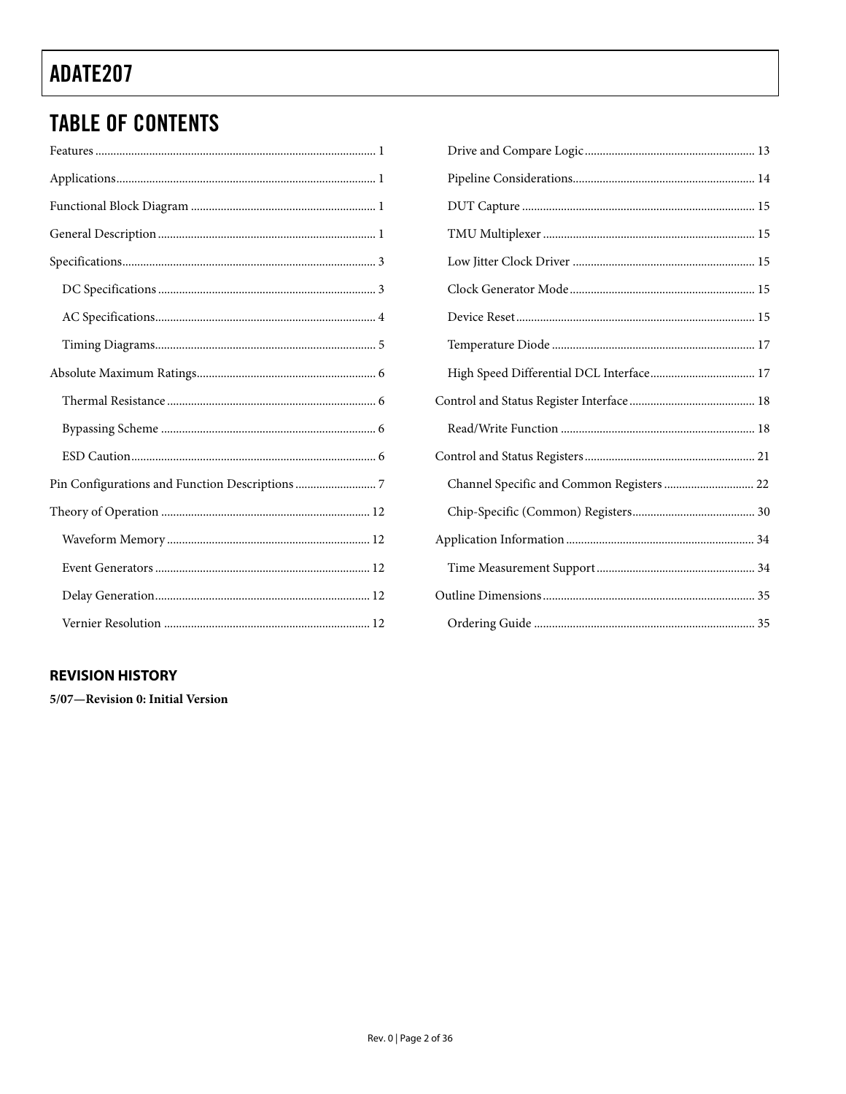## **TABLE OF CONTENTS**

### **REVISION HISTORY**

5/07-Revision 0: Initial Version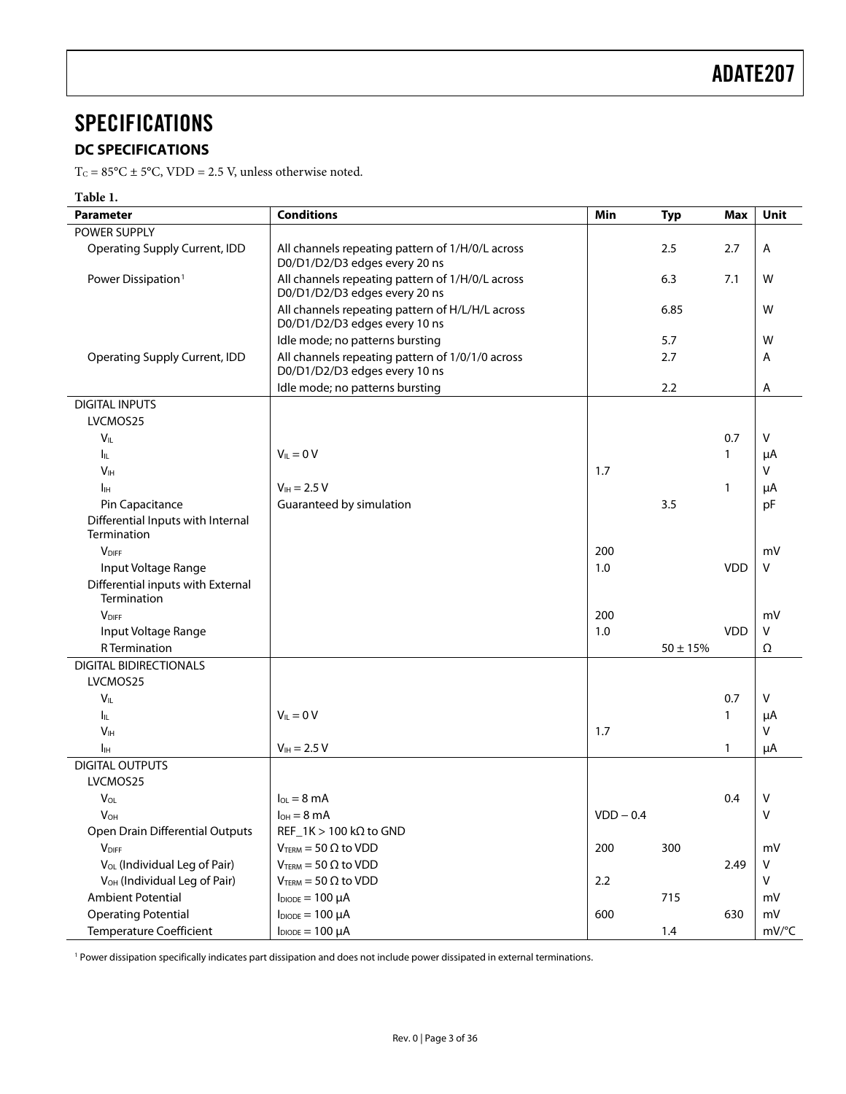## <span id="page-2-0"></span>**SPECIFICATIONS**

### **DC SPECIFICATIONS**

 $T_C = 85^{\circ}\text{C} \pm 5^{\circ}\text{C}$ , VDD = 2.5 V, unless otherwise noted.

### **Table 1.**

l,

| <b>Parameter</b>                         | <b>Conditions</b>                                                                 | Min         | <b>Typ</b>   | <b>Max</b> | Unit   |
|------------------------------------------|-----------------------------------------------------------------------------------|-------------|--------------|------------|--------|
| <b>POWER SUPPLY</b>                      |                                                                                   |             |              |            |        |
| <b>Operating Supply Current, IDD</b>     | All channels repeating pattern of 1/H/0/L across<br>D0/D1/D2/D3 edges every 20 ns |             | 2.5          | 2.7        | Α      |
| Power Dissipation <sup>1</sup>           | All channels repeating pattern of 1/H/0/L across<br>D0/D1/D2/D3 edges every 20 ns |             | 6.3          | 7.1        | W      |
|                                          | All channels repeating pattern of H/L/H/L across<br>D0/D1/D2/D3 edges every 10 ns |             | 6.85         |            | W      |
|                                          | Idle mode; no patterns bursting                                                   |             | 5.7          |            | W      |
| <b>Operating Supply Current, IDD</b>     | All channels repeating pattern of 1/0/1/0 across<br>D0/D1/D2/D3 edges every 10 ns |             | 2.7          |            | A      |
|                                          | Idle mode; no patterns bursting                                                   |             | 2.2          |            | Α      |
| <b>DIGITAL INPUTS</b>                    |                                                                                   |             |              |            |        |
| LVCMOS25                                 |                                                                                   |             |              |            |        |
| $V_{IL}$                                 |                                                                                   |             |              | 0.7        | V      |
| Iц.                                      | $V_{II} = 0 V$                                                                    |             |              | 1          | μA     |
| V <sub>IH</sub>                          |                                                                                   | 1.7         |              |            | V      |
| Iн                                       | $V_{IH} = 2.5 V$                                                                  |             |              | 1          | μA     |
| Pin Capacitance                          | Guaranteed by simulation                                                          |             | 3.5          |            | pF     |
| Differential Inputs with Internal        |                                                                                   |             |              |            |        |
| Termination                              |                                                                                   |             |              |            |        |
| <b>V</b> DIFF                            |                                                                                   | 200         |              |            | mV     |
| Input Voltage Range                      |                                                                                   | 1.0         |              | <b>VDD</b> | V      |
| Differential inputs with External        |                                                                                   |             |              |            |        |
| Termination                              |                                                                                   |             |              |            |        |
| <b>VDIFF</b>                             |                                                                                   | 200         |              |            | mV     |
| Input Voltage Range                      |                                                                                   | 1.0         |              | <b>VDD</b> | V      |
| <b>R</b> Termination                     |                                                                                   |             | $50 \pm 15%$ |            | Ω      |
| <b>DIGITAL BIDIRECTIONALS</b>            |                                                                                   |             |              |            |        |
| LVCMOS25                                 |                                                                                   |             |              |            |        |
| $V_{IL}$                                 |                                                                                   |             |              | 0.7        | V      |
| $I_{\rm IL}$                             | $V_{\parallel} = 0 V$                                                             |             |              | 1          | μA     |
| V <sub>IH</sub>                          |                                                                                   | 1.7         |              |            | V      |
| $I_{\rm IH}$                             | $V_{IH} = 2.5 V$                                                                  |             |              | 1          | μA     |
| <b>DIGITAL OUTPUTS</b>                   |                                                                                   |             |              |            |        |
| LVCMOS25                                 |                                                                                   |             |              |            |        |
| $V_{OL}$                                 | $I_{OL} = 8 \text{ mA}$                                                           |             |              | 0.4        | v      |
| $V_{OH}$                                 | $I_{OH} = 8 \text{ mA}$                                                           | $VDD - 0.4$ |              |            | $\vee$ |
| Open Drain Differential Outputs          | $REF_1K > 100 k\Omega$ to GND                                                     |             |              |            |        |
| <b>V</b> DIFF                            | $V_{\text{TERM}} = 50 \Omega$ to VDD                                              | 200         | 300          |            | mV     |
| V <sub>OL</sub> (Individual Leg of Pair) | $V_{\text{TERM}} = 50 \Omega$ to VDD                                              |             |              | 2.49       | V      |
| V <sub>OH</sub> (Individual Leg of Pair) | $V_{\text{TERM}} = 50 \Omega$ to VDD                                              | $2.2$       |              |            | V      |
| <b>Ambient Potential</b>                 | $I_{DIODE} = 100 \mu A$                                                           |             | 715          |            | mV     |
| <b>Operating Potential</b>               | $I_{DIODE} = 100 \mu A$                                                           | 600         |              | 630        | mV     |
| <b>Temperature Coefficient</b>           | $I_{DIODE} = 100 \mu A$                                                           |             | 1.4          |            | mV/°C  |
|                                          |                                                                                   |             |              |            |        |

<sup>1</sup> Power dissipation specifically indicates part dissipation and does not include power dissipated in external terminations.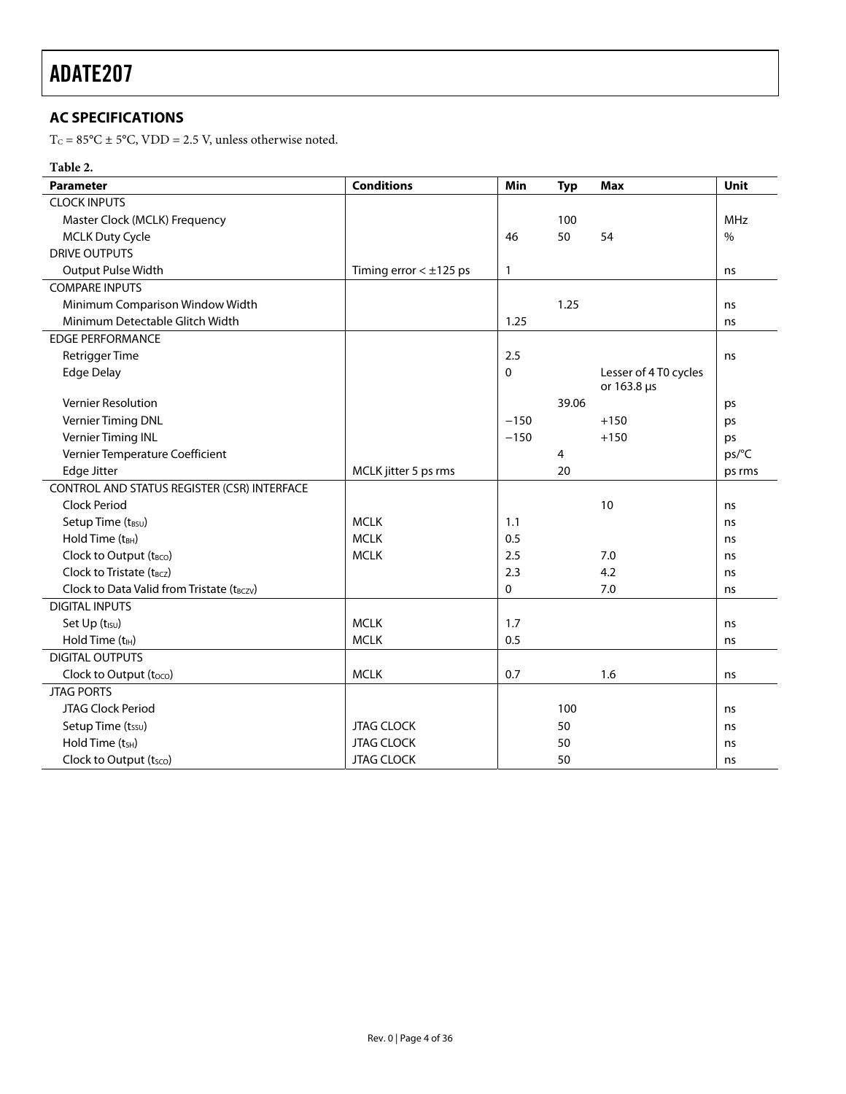### <span id="page-3-0"></span>**AC SPECIFICATIONS**

 $\mathrm{T_{C}}$  = 85°C  $\pm$  5°C, VDD = 2.5 V, unless otherwise noted.

#### **Table 2.**

| <b>Parameter</b>                            | <b>Conditions</b>           | Min          | <b>Typ</b> | <b>Max</b>                           | Unit          |
|---------------------------------------------|-----------------------------|--------------|------------|--------------------------------------|---------------|
| <b>CLOCK INPUTS</b>                         |                             |              |            |                                      |               |
| Master Clock (MCLK) Frequency               |                             |              | 100        |                                      | <b>MHz</b>    |
| <b>MCLK Duty Cycle</b>                      |                             | 46           | 50         | 54                                   | $\frac{0}{0}$ |
| <b>DRIVE OUTPUTS</b>                        |                             |              |            |                                      |               |
| Output Pulse Width                          | Timing error $< \pm 125$ ps | $\mathbf{1}$ |            |                                      | ns            |
| <b>COMPARE INPUTS</b>                       |                             |              |            |                                      |               |
| Minimum Comparison Window Width             |                             |              | 1.25       |                                      | ns            |
| Minimum Detectable Glitch Width             |                             | 1.25         |            |                                      | ns            |
| <b>EDGE PERFORMANCE</b>                     |                             |              |            |                                      |               |
| <b>Retrigger Time</b>                       |                             | 2.5          |            |                                      | ns            |
| <b>Edge Delay</b>                           |                             | 0            |            | Lesser of 4 T0 cycles<br>or 163.8 µs |               |
| <b>Vernier Resolution</b>                   |                             |              | 39.06      |                                      | ps            |
| Vernier Timing DNL                          |                             | $-150$       |            | $+150$                               | ps            |
| Vernier Timing INL                          |                             | $-150$       |            | $+150$                               | ps            |
| Vernier Temperature Coefficient             |                             |              | 4          |                                      | ps/C          |
| Edge Jitter                                 | MCLK jitter 5 ps rms        |              | 20         |                                      | ps rms        |
| CONTROL AND STATUS REGISTER (CSR) INTERFACE |                             |              |            |                                      |               |
| <b>Clock Period</b>                         |                             |              |            | 10                                   | ns            |
| Setup Time (tBSU)                           | <b>MCLK</b>                 | 1.1          |            |                                      | ns            |
| Hold Time (tBH)                             | <b>MCLK</b>                 | 0.5          |            |                                      | ns            |
| Clock to Output (tBCO)                      | <b>MCLK</b>                 | 2.5          |            | 7.0                                  | ns            |
| Clock to Tristate (t <sub>BCZ</sub> )       |                             | 2.3          |            | 4.2                                  | ns            |
| Clock to Data Valid from Tristate (tBCZV)   |                             | 0            |            | 7.0                                  | ns            |
| <b>DIGITAL INPUTS</b>                       |                             |              |            |                                      |               |
| Set Up (t <sub>ISU</sub> )                  | <b>MCLK</b>                 | 1.7          |            |                                      | ns            |
| Hold Time $(tIH)$                           | <b>MCLK</b>                 | 0.5          |            |                                      | ns            |
| <b>DIGITAL OUTPUTS</b>                      |                             |              |            |                                      |               |
| Clock to Output (toco)                      | <b>MCLK</b>                 | 0.7          |            | 1.6                                  | ns            |
| <b>JTAG PORTS</b>                           |                             |              |            |                                      |               |
| JTAG Clock Period                           |                             |              | 100        |                                      | ns            |
| Setup Time (tssu)                           | <b>JTAG CLOCK</b>           |              | 50         |                                      | ns            |
| Hold Time (t <sub>SH</sub> )                | <b>JTAG CLOCK</b>           |              | 50         |                                      | ns            |
| Clock to Output (tsco)                      | <b>JTAG CLOCK</b>           |              | 50         |                                      | ns            |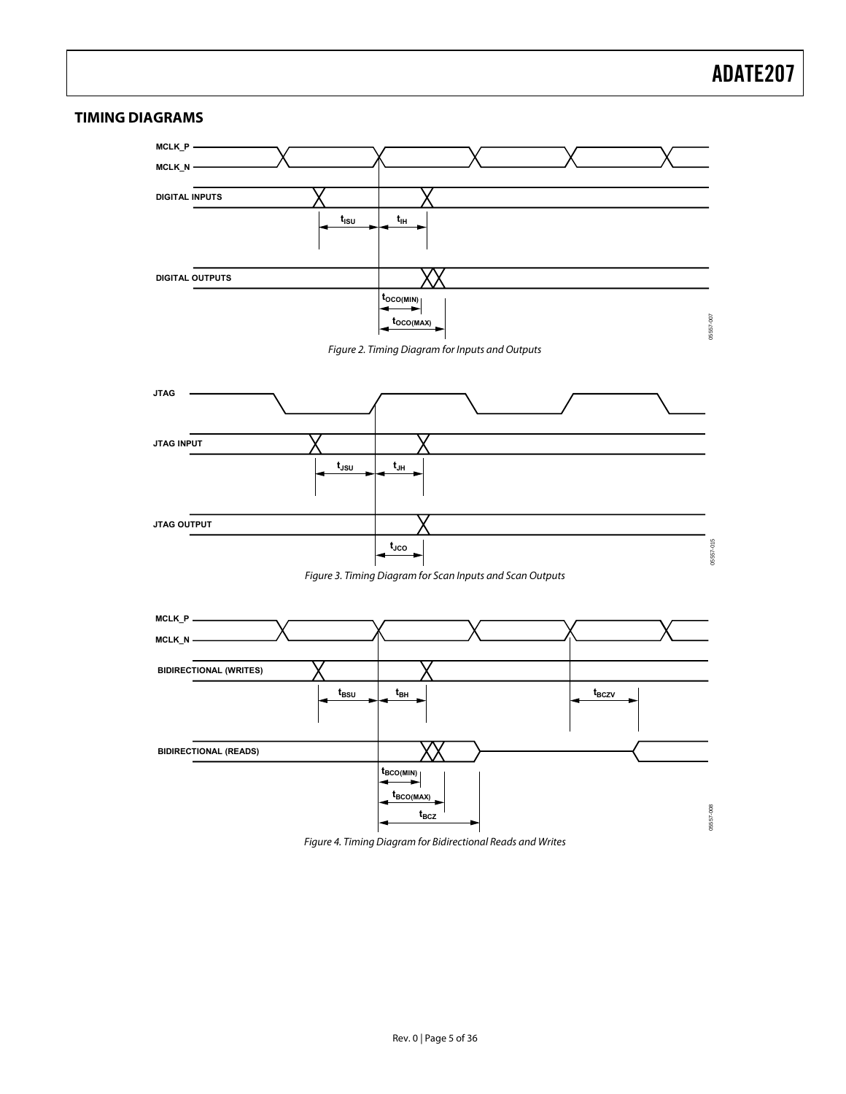#### <span id="page-4-0"></span>**TIMING DIAGRAMS**

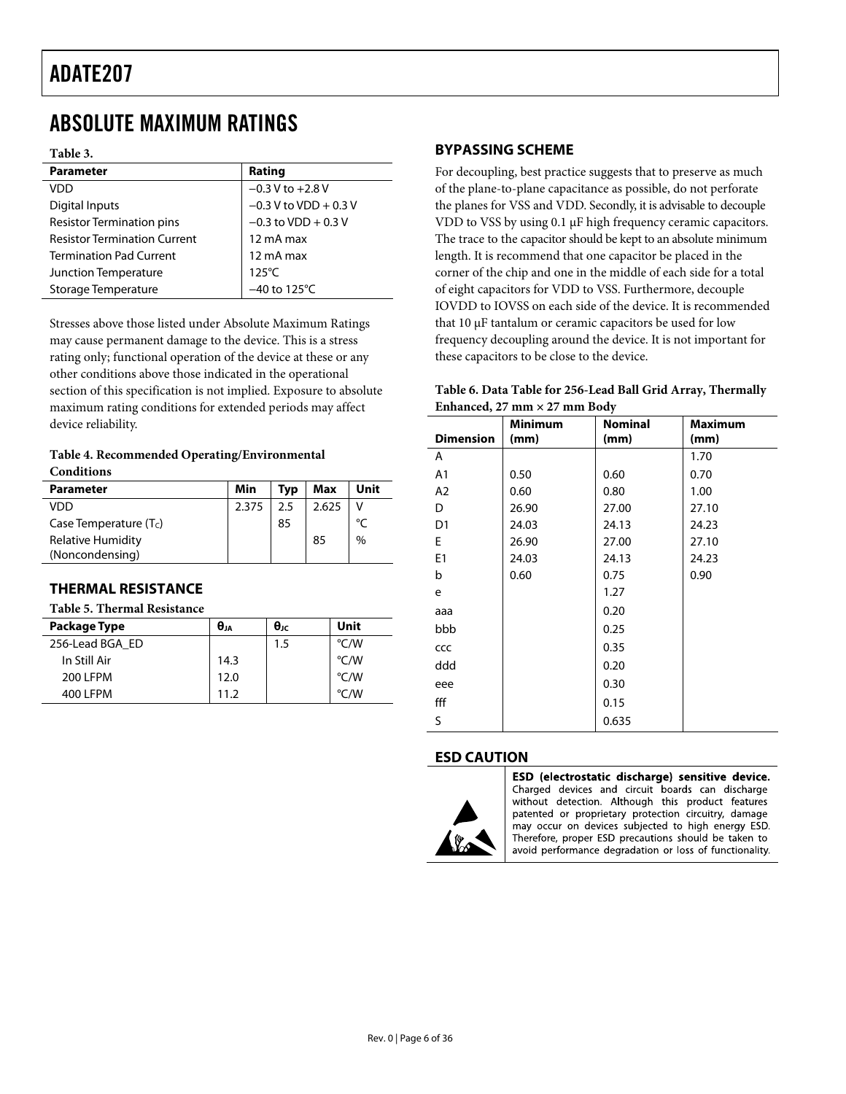### <span id="page-5-0"></span>ABSOLUTE MAXIMUM RATINGS

#### **Table 3.**

| <b>Parameter</b>                    | Rating                   |
|-------------------------------------|--------------------------|
| <b>VDD</b>                          | $-0.3$ V to $+2.8$ V     |
| Digital Inputs                      | $-0.3$ V to VDD + 0.3 V  |
| <b>Resistor Termination pins</b>    | $-0.3$ to VDD + 0.3 V    |
| <b>Resistor Termination Current</b> | 12 mA max                |
| <b>Termination Pad Current</b>      | 12 mA max                |
| Junction Temperature                | $125^{\circ}$ C          |
| Storage Temperature                 | $-40$ to 125 $\degree$ C |
|                                     |                          |

Stresses above those listed under Absolute Maximum Ratings may cause permanent damage to the device. This is a stress rating only; functional operation of the device at these or any other conditions above those indicated in the operational section of this specification is not implied. Exposure to absolute maximum rating conditions for extended periods may affect device reliability.

#### **Table 4. Recommended Operating/Environmental Conditions**

| <b>Parameter</b>         | Min   | Typ | Max   | Unit        |
|--------------------------|-------|-----|-------|-------------|
| VDD                      | 2.375 | 2.5 | 2.625 |             |
| Case Temperature $(T_c)$ |       | 85  |       | $^{\circ}C$ |
| Relative Humidity        |       |     | 85    | $\%$        |
| (Noncondensing)          |       |     |       |             |

### **THERMAL RESISTANCE**

#### **Table 5. Thermal Resistance**

| <b>Package Type</b> | $\theta_{JA}$ | $\theta_{\rm JC}$ | Unit               |  |  |
|---------------------|---------------|-------------------|--------------------|--|--|
| 256-Lead BGA ED     |               | 1.5               | °C/W               |  |  |
| In Still Air        | 14.3          |                   | °C/W               |  |  |
| 200 LFPM            | 12.0          |                   | $\rm ^{\circ}$ C/W |  |  |
| 400 LFPM            | 11 2          |                   | $\degree$ C/W      |  |  |

### **BYPASSING SCHEME**

For decoupling, best practice suggests that to preserve as much of the plane-to-plane capacitance as possible, do not perforate the planes for VSS and VDD. Secondly, it is advisable to decouple VDD to VSS by using 0.1 μF high frequency ceramic capacitors. The trace to the capacitor should be kept to an absolute minimum length. It is recommend that one capacitor be placed in the corner of the chip and one in the middle of each side for a total of eight capacitors for VDD to VSS. Furthermore, decouple IOVDD to IOVSS on each side of the device. It is recommended that 10 μF tantalum or ceramic capacitors be used for low frequency decoupling around the device. It is not important for these capacitors to be close to the device.

| Table 6. Data Table for 256-Lead Ball Grid Array, Thermally |
|-------------------------------------------------------------|
| Enhanced, $27 \text{ mm} \times 27 \text{ mm}$ Body         |

|                  | <b>Minimum</b> | <b>Nominal</b> | <b>Maximum</b> |
|------------------|----------------|----------------|----------------|
| <b>Dimension</b> | (mm)           | (mm)           | (mm)           |
| Α                |                |                | 1.70           |
| A <sub>1</sub>   | 0.50           | 0.60           | 0.70           |
| A2               | 0.60           | 0.80           | 1.00           |
| D                | 26.90          | 27.00          | 27.10          |
| D <sub>1</sub>   | 24.03          | 24.13          | 24.23          |
| E                | 26.90          | 27.00          | 27.10          |
| E <sub>1</sub>   | 24.03          | 24.13          | 24.23          |
| b                | 0.60           | 0.75           | 0.90           |
| e                |                | 1.27           |                |
| aaa              |                | 0.20           |                |
| bbb              |                | 0.25           |                |
| CCC              |                | 0.35           |                |
| ddd              |                | 0.20           |                |
| eee              |                | 0.30           |                |
| fff              |                | 0.15           |                |
| S                |                | 0.635          |                |

#### **ESD CAUTION**



ESD (electrostatic discharge) sensitive device. Charged devices and circuit boards can discharge without detection. Although this product features patented or proprietary protection circuitry, damage may occur on devices subjected to high energy ESD. Therefore, proper ESD precautions should be taken to avoid performance degradation or loss of functionality.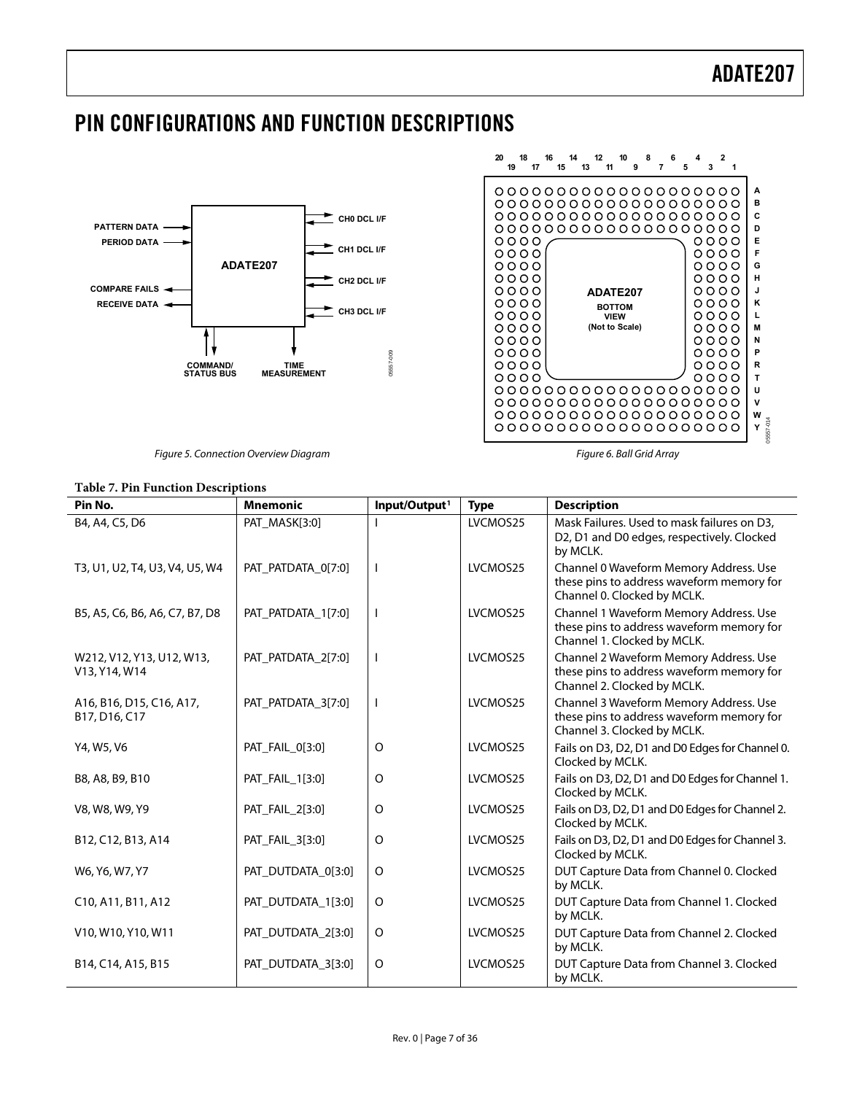### <span id="page-6-0"></span>PIN CONFIGURATIONS AND FUNCTION DESCRIPTIONS



Figure 5. Connection Overview Diagram

#### **1820 16 101214 2468 13151719 11 13579 A B**  $0000000000000000000000$  $0000000000000000000000$ **C** 0000000000000000000 **D**  $0000$  $0000$ **E**  $0000$  $0000$ **F**  $0000$  $0000$ **G**  $0000$ **H**  $0000$  $0000$ **ADATE207**  $0000$ **J**  $0000$  $0000$ **K BOTTOM**  $0000$ **VIEW**  $0000$ **L (Not to Scale)**  $0000$  $0000$ **M**  $0000$  $0000$ **N**  $0000$  $0000$ **P R**  $0000$  $0000$  $0000$  $0000$ **T**  $0000000000000000000000$ **U**  $0000000000000000000000$ **V** 0000000000000000000 **W** 6557-014 05557-014 **Y**

Figure 6. Ball Grid Array

| <b>Table 7. Pin Function Descriptions</b>  |                    |                           |             |                                                                                                                    |  |  |
|--------------------------------------------|--------------------|---------------------------|-------------|--------------------------------------------------------------------------------------------------------------------|--|--|
| Pin No.                                    | <b>Mnemonic</b>    | Input/Output <sup>1</sup> | <b>Type</b> | <b>Description</b>                                                                                                 |  |  |
| B4, A4, C5, D6                             | PAT_MASK[3:0]      |                           | LVCMOS25    | Mask Failures. Used to mask failures on D3,<br>D2, D1 and D0 edges, respectively. Clocked<br>by MCLK.              |  |  |
| T3, U1, U2, T4, U3, V4, U5, W4             | PAT_PATDATA_0[7:0] | I.                        | LVCMOS25    | Channel 0 Waveform Memory Address. Use<br>these pins to address waveform memory for<br>Channel 0. Clocked by MCLK. |  |  |
| B5, A5, C6, B6, A6, C7, B7, D8             | PAT_PATDATA_1[7:0] | I.                        | LVCMOS25    | Channel 1 Waveform Memory Address. Use<br>these pins to address waveform memory for<br>Channel 1. Clocked by MCLK. |  |  |
| W212, V12, Y13, U12, W13,<br>V13, Y14, W14 | PAT_PATDATA_2[7:0] | $\mathbf{I}$              | LVCMOS25    | Channel 2 Waveform Memory Address. Use<br>these pins to address waveform memory for<br>Channel 2. Clocked by MCLK. |  |  |
| A16, B16, D15, C16, A17,<br>B17, D16, C17  | PAT_PATDATA_3[7:0] | I.                        | LVCMOS25    | Channel 3 Waveform Memory Address. Use<br>these pins to address waveform memory for<br>Channel 3. Clocked by MCLK. |  |  |
| Y4, W5, V6                                 | PAT_FAIL_0[3:0]    | $\circ$                   | LVCMOS25    | Fails on D3, D2, D1 and D0 Edges for Channel 0.<br>Clocked by MCLK.                                                |  |  |
| B8, A8, B9, B10                            | PAT_FAIL_1[3:0]    | O                         | LVCMOS25    | Fails on D3, D2, D1 and D0 Edges for Channel 1.<br>Clocked by MCLK.                                                |  |  |
| V8, W8, W9, Y9                             | PAT_FAIL_2[3:0]    | O                         | LVCMOS25    | Fails on D3, D2, D1 and D0 Edges for Channel 2.<br>Clocked by MCLK.                                                |  |  |
| B12, C12, B13, A14                         | PAT_FAIL_3[3:0]    | $\circ$                   | LVCMOS25    | Fails on D3, D2, D1 and D0 Edges for Channel 3.<br>Clocked by MCLK.                                                |  |  |
| W6, Y6, W7, Y7                             | PAT_DUTDATA_0[3:0] | O                         | LVCMOS25    | DUT Capture Data from Channel 0. Clocked<br>by MCLK.                                                               |  |  |
| C10, A11, B11, A12                         | PAT_DUTDATA_1[3:0] | O                         | LVCMOS25    | DUT Capture Data from Channel 1. Clocked<br>by MCLK.                                                               |  |  |
| V10, W10, Y10, W11                         | PAT_DUTDATA_2[3:0] | O                         | LVCMOS25    | DUT Capture Data from Channel 2. Clocked<br>by MCLK.                                                               |  |  |
| B14, C14, A15, B15                         | PAT_DUTDATA_3[3:0] | O                         | LVCMOS25    | DUT Capture Data from Channel 3. Clocked<br>by MCLK.                                                               |  |  |

Rev. 0 | Page 7 of 36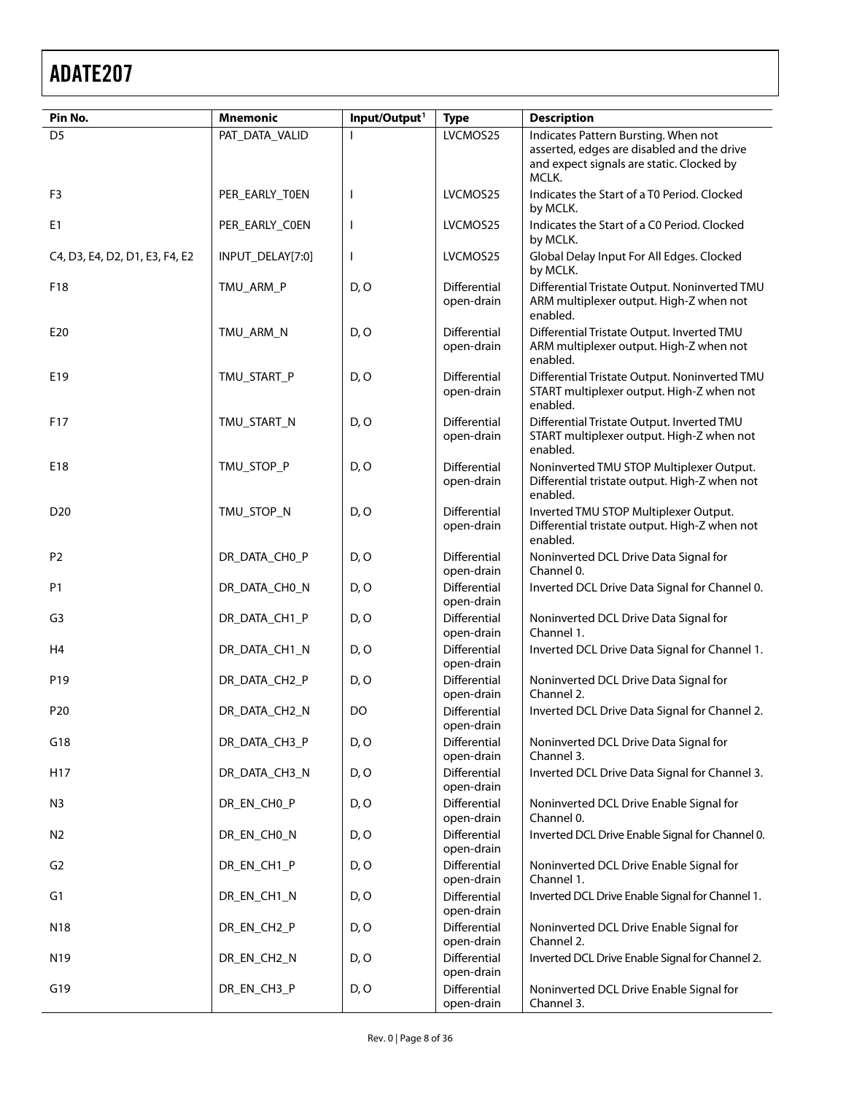| Pin No.                        | <b>Mnemonic</b>  | Input/Output <sup>1</sup> | <b>Type</b>                              | <b>Description</b>                                                                                                                       |
|--------------------------------|------------------|---------------------------|------------------------------------------|------------------------------------------------------------------------------------------------------------------------------------------|
| D <sub>5</sub>                 | PAT_DATA_VALID   |                           | LVCMOS25                                 | Indicates Pattern Bursting. When not<br>asserted, edges are disabled and the drive<br>and expect signals are static. Clocked by<br>MCLK. |
| F <sub>3</sub>                 | PER_EARLY_TOEN   | T                         | LVCMOS25                                 | Indicates the Start of a T0 Period. Clocked<br>by MCLK.                                                                                  |
| E <sub>1</sub>                 | PER_EARLY_COEN   | I                         | LVCMOS25                                 | Indicates the Start of a C0 Period. Clocked<br>by MCLK.                                                                                  |
| C4, D3, E4, D2, D1, E3, F4, E2 | INPUT_DELAY[7:0] | $\mathsf{I}$              | LVCMOS25                                 | Global Delay Input For All Edges. Clocked<br>by MCLK.                                                                                    |
| F18                            | TMU_ARM_P        | D, O                      | Differential<br>open-drain               | Differential Tristate Output. Noninverted TMU<br>ARM multiplexer output. High-Z when not<br>enabled.                                     |
| E20                            | TMU_ARM_N        | D, O                      | Differential<br>open-drain               | Differential Tristate Output. Inverted TMU<br>ARM multiplexer output. High-Z when not<br>enabled.                                        |
| E19                            | TMU_START_P      | D, O                      | Differential<br>open-drain               | Differential Tristate Output. Noninverted TMU<br>START multiplexer output. High-Z when not<br>enabled.                                   |
| F17                            | TMU_START_N      | D, O                      | Differential<br>open-drain               | Differential Tristate Output. Inverted TMU<br>START multiplexer output. High-Z when not<br>enabled.                                      |
| E18                            | TMU_STOP_P       | D, O                      | Differential<br>open-drain               | Noninverted TMU STOP Multiplexer Output.<br>Differential tristate output. High-Z when not<br>enabled.                                    |
| D <sub>20</sub>                | TMU_STOP_N       | D, O                      | Differential<br>open-drain               | Inverted TMU STOP Multiplexer Output.<br>Differential tristate output. High-Z when not<br>enabled.                                       |
| P <sub>2</sub>                 | DR_DATA_CH0_P    | D, O                      | Differential<br>open-drain               | Noninverted DCL Drive Data Signal for<br>Channel 0.                                                                                      |
| P <sub>1</sub>                 | DR_DATA_CH0_N    | D, O                      | Differential<br>open-drain               | Inverted DCL Drive Data Signal for Channel 0.                                                                                            |
| G <sub>3</sub>                 | DR_DATA_CH1_P    | D, O                      | Differential<br>open-drain               | Noninverted DCL Drive Data Signal for<br>Channel 1.                                                                                      |
| H <sub>4</sub>                 | DR_DATA_CH1_N    | D, O                      | Differential<br>open-drain               | Inverted DCL Drive Data Signal for Channel 1.                                                                                            |
| P19                            | DR_DATA_CH2_P    | D, O                      | Differential<br>open-drain               | Noninverted DCL Drive Data Signal for<br>Channel 2.                                                                                      |
| P <sub>20</sub>                | DR_DATA_CH2_N    | DO                        | Differential<br>open-drain               | Inverted DCL Drive Data Signal for Channel 2.                                                                                            |
| G18                            | DR_DATA_CH3_P    | D, O                      | Differential<br>open-drain               | Noninverted DCL Drive Data Signal for<br>Channel 3.                                                                                      |
| H17                            | DR_DATA_CH3_N    | D, O                      | Differential<br>open-drain               | Inverted DCL Drive Data Signal for Channel 3.                                                                                            |
| N <sub>3</sub>                 | DR_EN_CHO_P      | D, O                      | Differential<br>open-drain               | Noninverted DCL Drive Enable Signal for<br>Channel 0.                                                                                    |
| N <sub>2</sub>                 | DR_EN_CHO_N      | D, O                      | Differential<br>open-drain               | Inverted DCL Drive Enable Signal for Channel 0.                                                                                          |
| G <sub>2</sub>                 | DR_EN_CH1_P      | D, O                      | Differential<br>open-drain               | Noninverted DCL Drive Enable Signal for<br>Channel 1.                                                                                    |
| G1                             | DR_EN_CH1_N      | D, O                      | Differential<br>open-drain               | Inverted DCL Drive Enable Signal for Channel 1.                                                                                          |
| N18                            | DR_EN_CH2_P      | D, O                      | Differential                             | Noninverted DCL Drive Enable Signal for<br>Channel 2.                                                                                    |
| N <sub>19</sub>                | DR_EN_CH2_N      | D, O                      | open-drain<br>Differential               | Inverted DCL Drive Enable Signal for Channel 2.                                                                                          |
| G19                            | DR_EN_CH3_P      | D, O                      | open-drain<br>Differential<br>open-drain | Noninverted DCL Drive Enable Signal for<br>Channel 3.                                                                                    |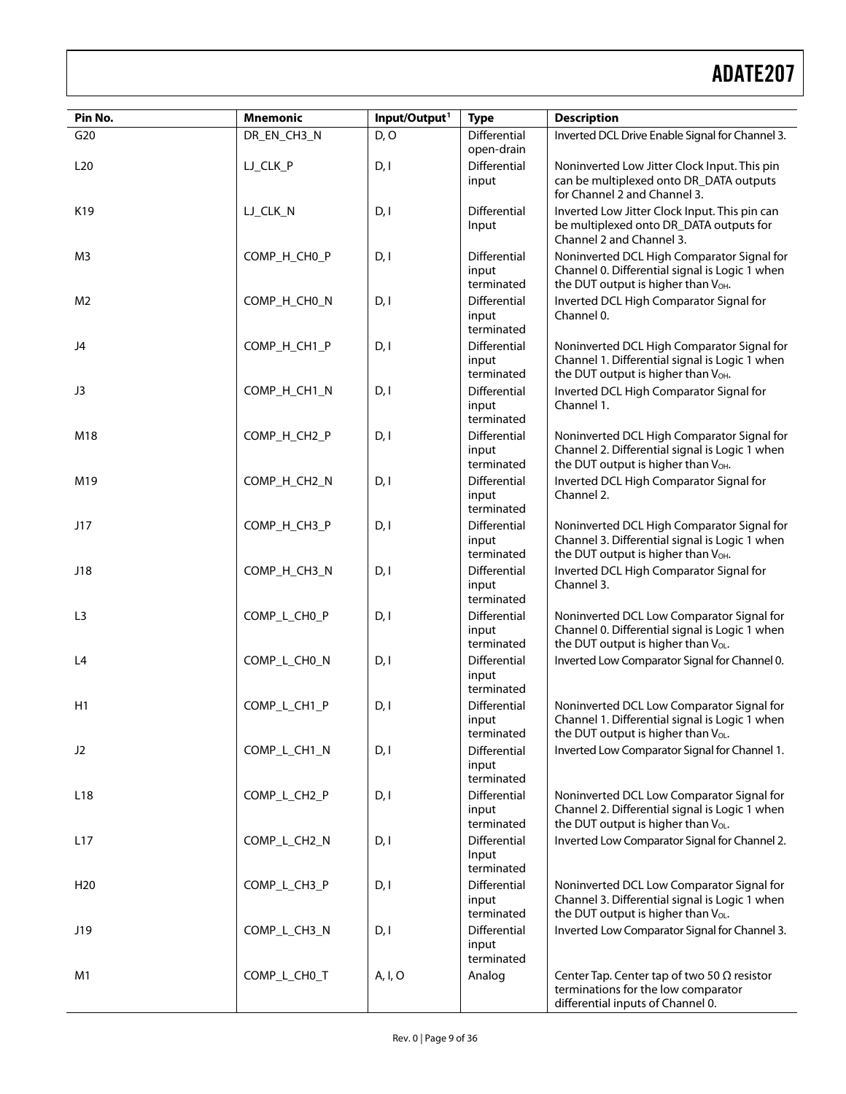| Pin No.         | <b>Mnemonic</b> | Input/Output <sup>1</sup> | <b>Type</b>                                | <b>Description</b>                                                                                                                              |
|-----------------|-----------------|---------------------------|--------------------------------------------|-------------------------------------------------------------------------------------------------------------------------------------------------|
| G20             | DR_EN_CH3_N     | D, O                      | Differential<br>open-drain                 | Inverted DCL Drive Enable Signal for Channel 3.                                                                                                 |
| L20             | LJ_CLK_P        | D, I                      | Differential<br>input                      | Noninverted Low Jitter Clock Input. This pin<br>can be multiplexed onto DR_DATA outputs<br>for Channel 2 and Channel 3.                         |
| K19             | LJ_CLK_N        | D, I                      | Differential<br>Input                      | Inverted Low Jitter Clock Input. This pin can<br>be multiplexed onto DR_DATA outputs for<br>Channel 2 and Channel 3.                            |
| M <sub>3</sub>  | COMP_H_CH0_P    | D, I                      | Differential<br>input<br>terminated        | Noninverted DCL High Comparator Signal for<br>Channel 0. Differential signal is Logic 1 when<br>the DUT output is higher than V <sub>OH</sub> . |
| M <sub>2</sub>  | COMP_H_CH0_N    | D, I                      | Differential<br>input<br>terminated        | Inverted DCL High Comparator Signal for<br>Channel 0.                                                                                           |
| J4              | COMP_H_CH1_P    | D, I                      | Differential<br>input<br>terminated        | Noninverted DCL High Comparator Signal for<br>Channel 1. Differential signal is Logic 1 when<br>the DUT output is higher than V <sub>OH</sub> . |
| J3              | COMP_H_CH1_N    | D, I                      | Differential<br>input<br>terminated        | Inverted DCL High Comparator Signal for<br>Channel 1.                                                                                           |
| M18             | COMP_H_CH2_P    | D, I                      | Differential<br>input<br>terminated        | Noninverted DCL High Comparator Signal for<br>Channel 2. Differential signal is Logic 1 when<br>the DUT output is higher than V <sub>OH</sub> . |
| M19             | COMP_H_CH2_N    | D, I                      | Differential<br>input<br>terminated        | Inverted DCL High Comparator Signal for<br>Channel 2.                                                                                           |
| J17             | COMP_H_CH3_P    | D, I                      | Differential<br>input<br>terminated        | Noninverted DCL High Comparator Signal for<br>Channel 3. Differential signal is Logic 1 when<br>the DUT output is higher than V <sub>OH</sub> . |
| J18             | COMP_H_CH3_N    | D, I                      | Differential<br>input<br>terminated        | Inverted DCL High Comparator Signal for<br>Channel 3.                                                                                           |
| L <sub>3</sub>  | COMP_L_CH0_P    | D, I                      | Differential<br>input<br>terminated        | Noninverted DCL Low Comparator Signal for<br>Channel 0. Differential signal is Logic 1 when<br>the DUT output is higher than Vol.               |
| L4              | COMP_L_CH0_N    | D, I                      | Differential<br>input<br>terminated        | Inverted Low Comparator Signal for Channel 0.                                                                                                   |
| H1              | COMP_L_CH1_P    | D, I                      | Differential<br>input<br>terminated        | Noninverted DCL Low Comparator Signal for<br>Channel 1. Differential signal is Logic 1 when<br>the DUT output is higher than Vol.               |
| J2              | COMP_L_CH1_N    | D, I                      | Differential<br>input<br>terminated        | Inverted Low Comparator Signal for Channel 1.                                                                                                   |
| L <sub>18</sub> | COMP_L_CH2_P    | D, I                      | Differential<br>input<br>terminated        | Noninverted DCL Low Comparator Signal for<br>Channel 2. Differential signal is Logic 1 when<br>the DUT output is higher than V <sub>OL</sub> .  |
| L17             | COMP_L_CH2_N    | D, I                      | Differential<br>Input<br>terminated        | Inverted Low Comparator Signal for Channel 2.                                                                                                   |
| H <sub>20</sub> | COMP_L_CH3_P    | D, I                      | Differential<br>input<br>terminated        | Noninverted DCL Low Comparator Signal for<br>Channel 3. Differential signal is Logic 1 when<br>the DUT output is higher than Vol.               |
| J19             | COMP_L_CH3_N    | D, I                      | <b>Differential</b><br>input<br>terminated | Inverted Low Comparator Signal for Channel 3.                                                                                                   |
| M1              | COMP_L_CH0_T    | A, I, O                   | Analog                                     | Center Tap. Center tap of two 50 $\Omega$ resistor<br>terminations for the low comparator<br>differential inputs of Channel 0.                  |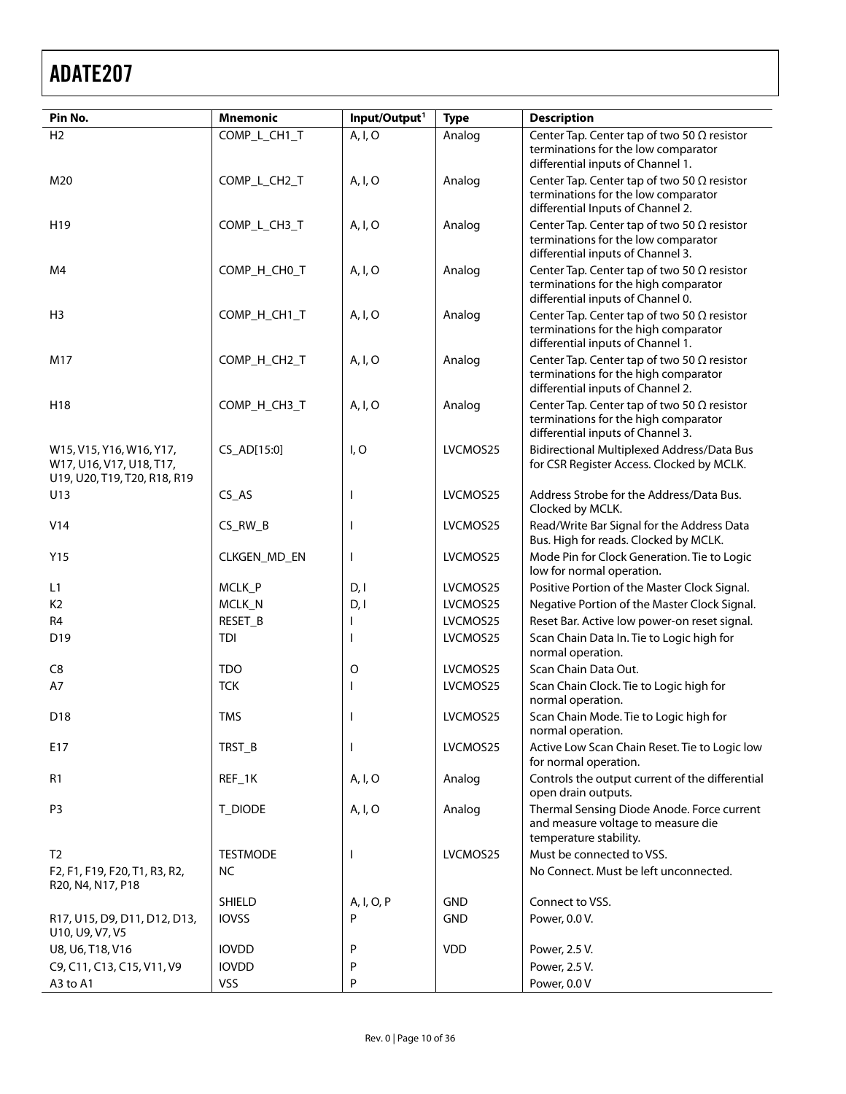| Pin No.                                                                              | <b>Mnemonic</b> | Input/Output <sup>1</sup> | <b>Type</b> | <b>Description</b>                                                                                                              |
|--------------------------------------------------------------------------------------|-----------------|---------------------------|-------------|---------------------------------------------------------------------------------------------------------------------------------|
| H <sub>2</sub>                                                                       | COMP_L_CH1_T    | A, I, O                   | Analog      | Center Tap. Center tap of two 50 $\Omega$ resistor<br>terminations for the low comparator<br>differential inputs of Channel 1.  |
| M20                                                                                  | COMP_L_CH2_T    | A, I, O                   | Analog      | Center Tap. Center tap of two 50 $\Omega$ resistor<br>terminations for the low comparator<br>differential Inputs of Channel 2.  |
| H <sub>19</sub>                                                                      | COMP_L_CH3_T    | A, I, O                   | Analog      | Center Tap. Center tap of two 50 $\Omega$ resistor<br>terminations for the low comparator<br>differential inputs of Channel 3.  |
| M4                                                                                   | COMP_H_CH0_T    | A, I, O                   | Analog      | Center Tap. Center tap of two 50 $\Omega$ resistor<br>terminations for the high comparator<br>differential inputs of Channel 0. |
| H <sub>3</sub>                                                                       | COMP_H_CH1_T    | A, I, O                   | Analog      | Center Tap. Center tap of two 50 $\Omega$ resistor<br>terminations for the high comparator<br>differential inputs of Channel 1. |
| M17                                                                                  | COMP_H_CH2_T    | A, I, O                   | Analog      | Center Tap. Center tap of two 50 $\Omega$ resistor<br>terminations for the high comparator<br>differential inputs of Channel 2. |
| H18                                                                                  | COMP_H_CH3_T    | A, I, O                   | Analog      | Center Tap. Center tap of two 50 $\Omega$ resistor<br>terminations for the high comparator<br>differential inputs of Channel 3. |
| W15, V15, Y16, W16, Y17,<br>W17, U16, V17, U18, T17,<br>U19, U20, T19, T20, R18, R19 | CS_AD[15:0]     | I, O                      | LVCMOS25    | Bidirectional Multiplexed Address/Data Bus<br>for CSR Register Access. Clocked by MCLK.                                         |
| U13                                                                                  | CS <sub>A</sub> | $\mathbf{I}$              | LVCMOS25    | Address Strobe for the Address/Data Bus.<br>Clocked by MCLK.                                                                    |
| V14                                                                                  | $CS_RW_B$       | ı                         | LVCMOS25    | Read/Write Bar Signal for the Address Data<br>Bus. High for reads. Clocked by MCLK.                                             |
| Y15                                                                                  | CLKGEN_MD_EN    | I                         | LVCMOS25    | Mode Pin for Clock Generation. Tie to Logic<br>low for normal operation.                                                        |
| L1                                                                                   | MCLK_P          | D, I                      | LVCMOS25    | Positive Portion of the Master Clock Signal.                                                                                    |
| K <sub>2</sub>                                                                       | MCLK_N          | D, I                      | LVCMOS25    | Negative Portion of the Master Clock Signal.                                                                                    |
| R <sub>4</sub>                                                                       | RESET_B         |                           | LVCMOS25    | Reset Bar. Active low power-on reset signal.                                                                                    |
| D19                                                                                  | <b>TDI</b>      |                           | LVCMOS25    | Scan Chain Data In. Tie to Logic high for<br>normal operation.                                                                  |
| C <sub>8</sub>                                                                       | <b>TDO</b>      | O                         | LVCMOS25    | Scan Chain Data Out.                                                                                                            |
| A7                                                                                   | <b>TCK</b>      | ı                         | LVCMOS25    | Scan Chain Clock. Tie to Logic high for<br>normal operation.                                                                    |
| D18                                                                                  | <b>TMS</b>      |                           | LVCMOS25    | Scan Chain Mode. Tie to Logic high for<br>normal operation.                                                                     |
| E17                                                                                  | TRST_B          | ı                         | LVCMOS25    | Active Low Scan Chain Reset. Tie to Logic low<br>for normal operation.                                                          |
| R <sub>1</sub>                                                                       | REF_1K          | A, I, O                   | Analog      | Controls the output current of the differential<br>open drain outputs.                                                          |
| P <sub>3</sub>                                                                       | T_DIODE         | A, I, O                   | Analog      | Thermal Sensing Diode Anode. Force current<br>and measure voltage to measure die<br>temperature stability.                      |
| T <sub>2</sub>                                                                       | <b>TESTMODE</b> | ı                         | LVCMOS25    | Must be connected to VSS.                                                                                                       |
| F2, F1, F19, F20, T1, R3, R2,<br>R20, N4, N17, P18                                   | NC.             |                           |             | No Connect. Must be left unconnected.                                                                                           |
|                                                                                      | <b>SHIELD</b>   | A, I, O, P                | <b>GND</b>  | Connect to VSS.                                                                                                                 |
| R17, U15, D9, D11, D12, D13,<br>U10, U9, V7, V5                                      | <b>IOVSS</b>    | P                         | <b>GND</b>  | Power, 0.0 V.                                                                                                                   |
| U8, U6, T18, V16                                                                     | <b>IOVDD</b>    | P                         | <b>VDD</b>  | Power, 2.5 V.                                                                                                                   |
| C9, C11, C13, C15, V11, V9                                                           | <b>IOVDD</b>    | P                         |             | Power, 2.5 V.                                                                                                                   |
| A3 to A1                                                                             | VSS             | P                         |             | Power, 0.0 V                                                                                                                    |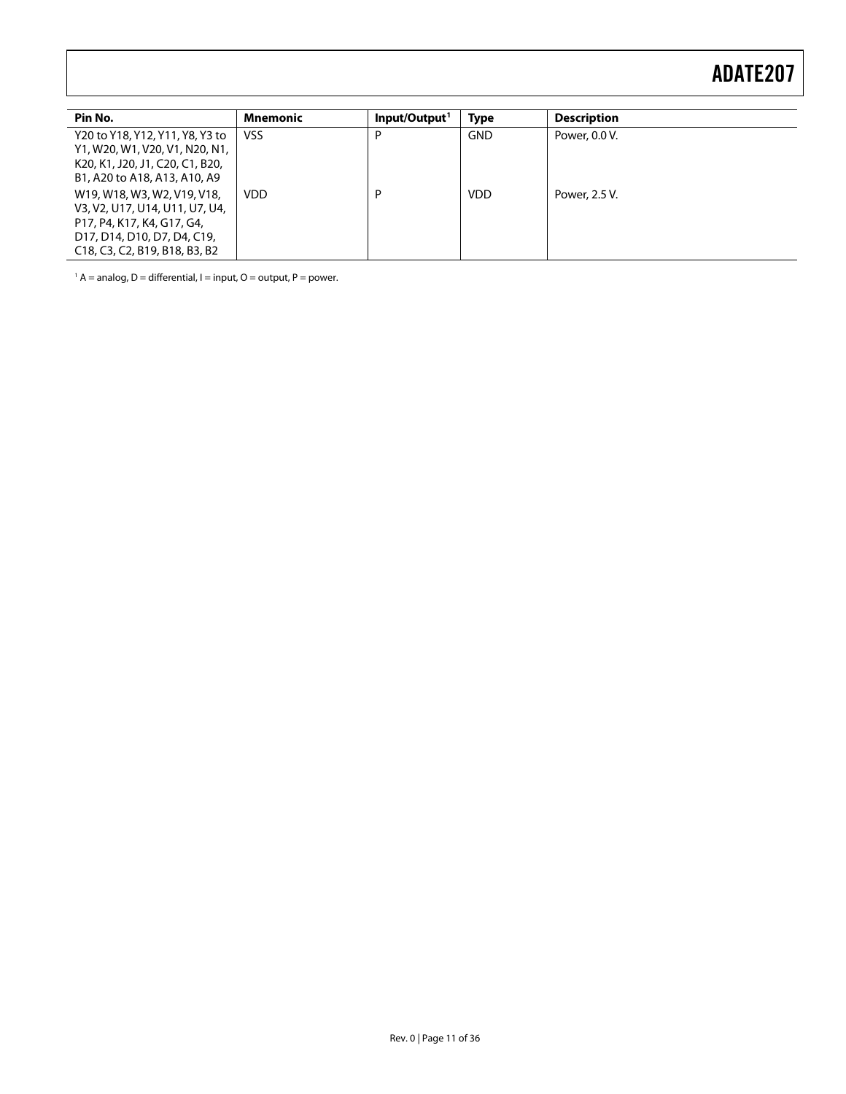| Pin No.                                                                                                                                                     | Mnemonic   | Input/Output <sup>1</sup> | <b>Type</b> | <b>Description</b> |
|-------------------------------------------------------------------------------------------------------------------------------------------------------------|------------|---------------------------|-------------|--------------------|
| Y20 to Y18, Y12, Y11, Y8, Y3 to<br>Y1, W20, W1, V20, V1, N20, N1,<br>K20, K1, J20, J1, C20, C1, B20,<br>B1, A20 to A18, A13, A10, A9                        | <b>VSS</b> | D                         | <b>GND</b>  | Power, 0.0 V.      |
| W19, W18, W3, W2, V19, V18,<br>V3, V2, U17, U14, U11, U7, U4,<br>P17, P4, K17, K4, G17, G4,<br>D17, D14, D10, D7, D4, C19,<br>C18, C3, C2, B19, B18, B3, B2 | <b>VDD</b> | D                         | <b>VDD</b>  | Power, 2.5 V.      |

 $1 A$  = analog, D = differential, I = input, O = output, P = power.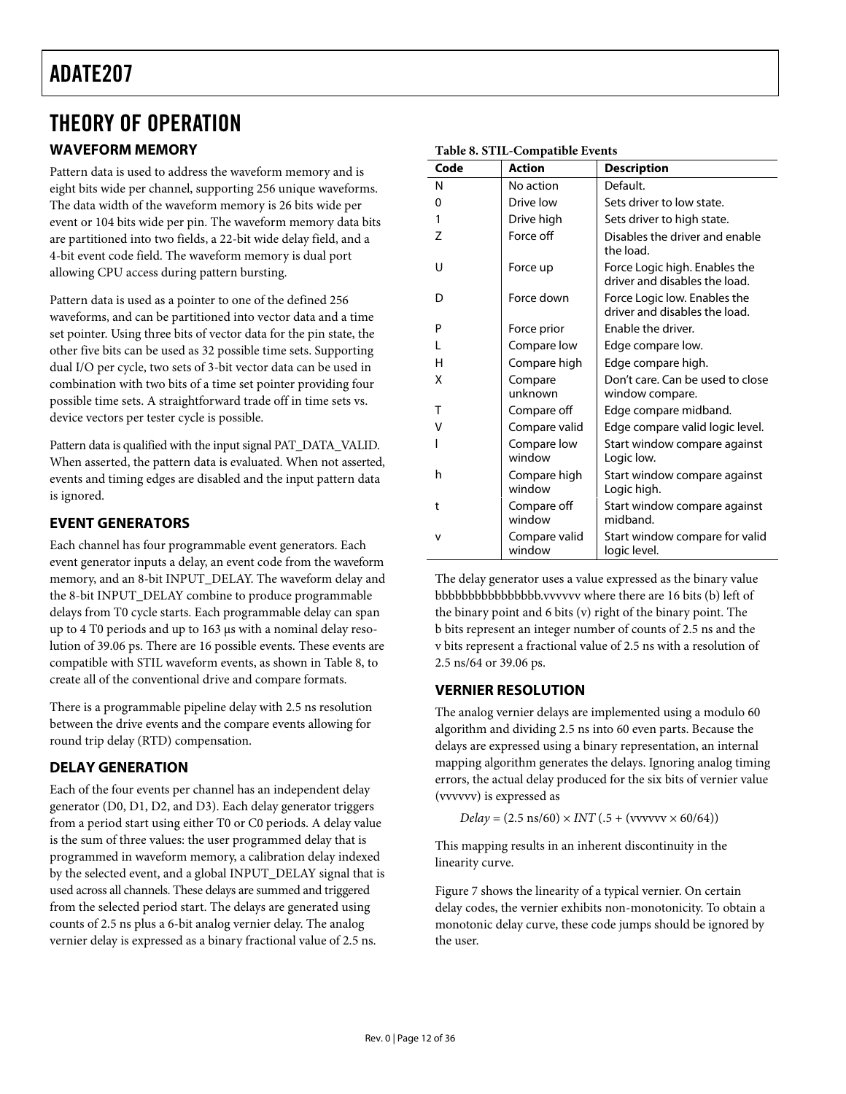### <span id="page-11-0"></span>THEORY OF OPERATION

### <span id="page-11-1"></span>**WAVEFORM MEMORY**

Pattern data is used to address the waveform memory and is eight bits wide per channel, supporting 256 unique waveforms. The data width of the waveform memory is 26 bits wide per event or 104 bits wide per pin. The waveform memory data bits are partitioned into two fields, a 22-bit wide delay field, and a 4-bit event code field. The waveform memory is dual port allowing CPU access during pattern bursting.

Pattern data is used as a pointer to one of the defined 256 waveforms, and can be partitioned into vector data and a time set pointer. Using three bits of vector data for the pin state, the other five bits can be used as 32 possible time sets. Supporting dual I/O per cycle, two sets of 3-bit vector data can be used in combination with two bits of a time set pointer providing four possible time sets. A straightforward trade off in time sets vs. device vectors per tester cycle is possible.

Pattern data is qualified with the input signal PAT\_DATA\_VALID. When asserted, the pattern data is evaluated. When not asserted, events and timing edges are disabled and the input pattern data is ignored.

### **EVENT GENERATORS**

Each channel has four programmable event generators. Each event generator inputs a delay, an event code from the waveform memory, and an 8-bit INPUT\_DELAY. The waveform delay and the 8-bit INPUT\_DELAY combine to produce programmable delays from T0 cycle starts. Each programmable delay can span up to 4 T0 periods and up to 163 μs with a nominal delay resolution of 39.06 ps. There are 16 possible events. These events are compatible with STIL waveform events, as shown in [Table 8](#page-11-1), to create all of the conventional drive and compare formats.

There is a programmable pipeline delay with 2.5 ns resolution between the drive events and the compare events allowing for round trip delay (RTD) compensation.

### **DELAY GENERATION**

Each of the four events per channel has an independent delay generator (D0, D1, D2, and D3). Each delay generator triggers from a period start using either T0 or C0 periods. A delay value is the sum of three values: the user programmed delay that is programmed in waveform memory, a calibration delay indexed by the selected event, and a global INPUT\_DELAY signal that is used across all channels. These delays are summed and triggered from the selected period start. The delays are generated using counts of 2.5 ns plus a 6-bit analog vernier delay. The analog vernier delay is expressed as a binary fractional value of 2.5 ns.

| Code | <b>Action</b>           | <b>Description</b>                                             |
|------|-------------------------|----------------------------------------------------------------|
| N    | No action               | Default.                                                       |
| 0    | Drive low               | Sets driver to low state.                                      |
| 1    | Drive high              | Sets driver to high state.                                     |
| 7    | Force off               | Disables the driver and enable<br>the load.                    |
| U    | Force up                | Force Logic high. Enables the<br>driver and disables the load. |
| D    | Force down              | Force Logic low. Enables the<br>driver and disables the load.  |
| P    | Force prior             | Enable the driver.                                             |
| L    | Compare low             | Edge compare low.                                              |
| н    | Compare high            | Edge compare high.                                             |
| x    | Compare<br>unknown      | Don't care. Can be used to close<br>window compare.            |
| Τ    | Compare off             | Edge compare midband.                                          |
| ٧    | Compare valid           | Edge compare valid logic level.                                |
|      | Compare low<br>window   | Start window compare against<br>Logic low.                     |
| h    | Compare high<br>window  | Start window compare against<br>Logic high.                    |
| t    | Compare off<br>window   | Start window compare against<br>midhand.                       |
| v    | Compare valid<br>window | Start window compare for valid<br>logic level.                 |

#### **Table 8. STIL-Compatible Events**

The delay generator uses a value expressed as the binary value bbbbbbbbbbbbbbbb.vvvvvv where there are 16 bits (b) left of the binary point and 6 bits (v) right of the binary point. The b bits represent an integer number of counts of 2.5 ns and the v bits represent a fractional value of 2.5 ns with a resolution of 2.5 ns/64 or 39.06 ps.

### **VERNIER RESOLUTION**

The analog vernier delays are implemented using a modulo 60 algorithm and dividing 2.5 ns into 60 even parts. Because the delays are expressed using a binary representation, an internal mapping algorithm generates the delays. Ignoring analog timing errors, the actual delay produced for the six bits of vernier value (vvvvvv) is expressed as

 $Delay = (2.5 \text{ ns}/60) \times INT (0.5 + (vvvv/v) \times 60/64)$ 

This mapping results in an inherent discontinuity in the linearity curve.

[Figure 7](#page-12-1) shows the linearity of a typical vernier. On certain delay codes, the vernier exhibits non-monotonicity. To obtain a monotonic delay curve, these code jumps should be ignored by the user.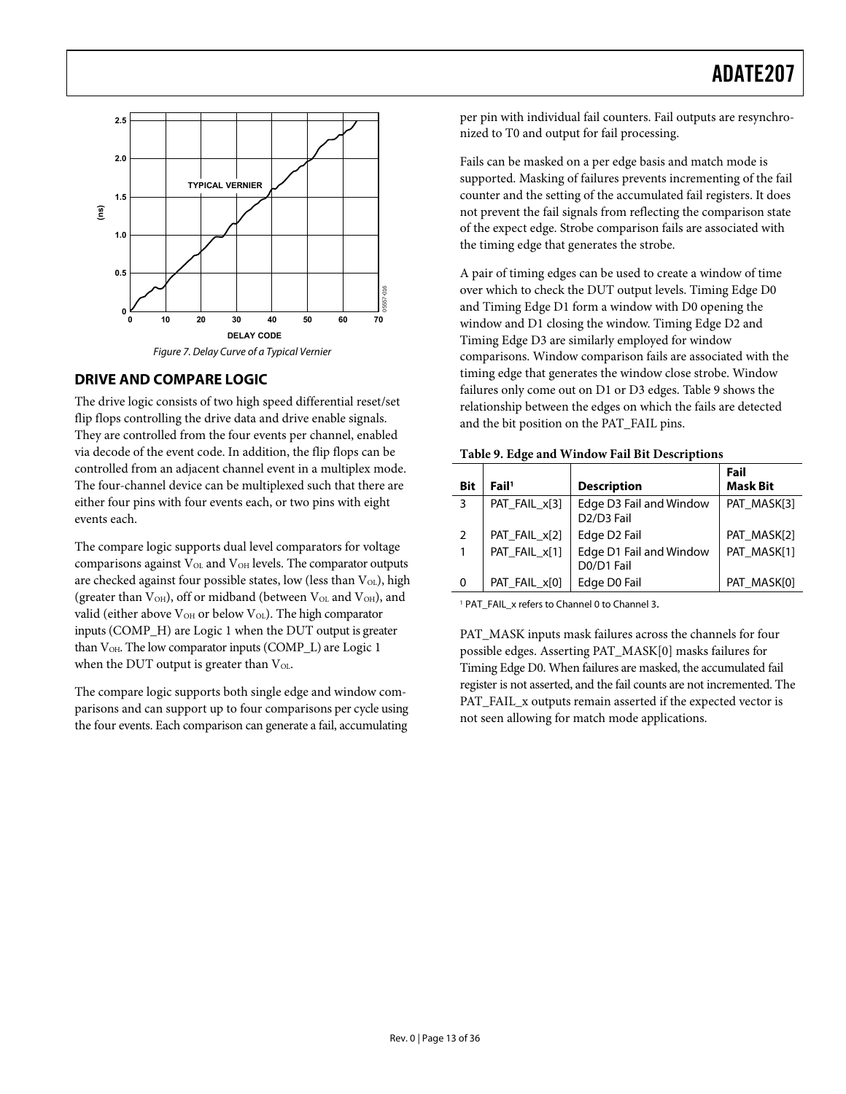<span id="page-12-0"></span>

### <span id="page-12-1"></span>**DRIVE AND COMPARE LOGIC**

<span id="page-12-2"></span>The drive logic consists of two high speed differential reset/set flip flops controlling the drive data and drive enable signals. They are controlled from the four events per channel, enabled via decode of the event code. In addition, the flip flops can be controlled from an adjacent channel event in a multiplex mode. The four-channel device can be multiplexed such that there are either four pins with four events each, or two pins with eight events each.

The compare logic supports dual level comparators for voltage comparisons against  $V_{OL}$  and  $V_{OH}$  levels. The comparator outputs are checked against four possible states, low (less than  $V_{OL}$ ), high (greater than  $V<sub>OH</sub>$ ), off or midband (between  $V<sub>OL</sub>$  and  $V<sub>OH</sub>$ ), and valid (either above V<sub>OH</sub> or below V<sub>OL</sub>). The high comparator inputs (COMP\_H) are Logic 1 when the DUT output is greater than  $V_{OH}$ . The low comparator inputs (COMP\_L) are Logic 1 when the DUT output is greater than  $V_{OL}$ .

The compare logic supports both single edge and window comparisons and can support up to four comparisons per cycle using the four events. Each comparison can generate a fail, accumulating

per pin with individual fail counters. Fail outputs are resynchronized to T0 and output for fail processing.

Fails can be masked on a per edge basis and match mode is supported. Masking of failures prevents incrementing of the fail counter and the setting of the accumulated fail registers. It does not prevent the fail signals from reflecting the comparison state of the expect edge. Strobe comparison fails are associated with the timing edge that generates the strobe.

A pair of timing edges can be used to create a window of time over which to check the DUT output levels. Timing Edge D0 and Timing Edge D1 form a window with D0 opening the window and D1 closing the window. Timing Edge D2 and Timing Edge D3 are similarly employed for window comparisons. Window comparison fails are associated with the timing edge that generates the window close strobe. Window failures only come out on D1 or D3 edges. [Table 9](#page-12-2) shows the relationship between the edges on which the fails are detected and the bit position on the PAT\_FAIL pins.

| Table 9. Edge and Window Fail Bit Descriptions |  |  |
|------------------------------------------------|--|--|
|------------------------------------------------|--|--|

| Bit          | Fail <sup>1</sup> | <b>Description</b>                                             | Fail<br><b>Mask Bit</b> |
|--------------|-------------------|----------------------------------------------------------------|-------------------------|
| 3            | PAT_FAIL_x[3]     | Edge D3 Fail and Window<br>D <sub>2</sub> /D <sub>3</sub> Fail | PAT MASK[3]             |
| 2            | PAT_FAIL_x[2]     | Edge D2 Fail                                                   | PAT MASK[2]             |
| $\mathbf{1}$ | PAT_FAIL_x[1]     | Edge D1 Fail and Window<br>D0/D1 Fail                          | PAT MASK[1]             |
| 0            | PAT_FAIL_x[0]     | Edge D0 Fail                                                   | PAT MASK[0]             |

<sup>1</sup> PAT\_FAIL\_x refers to Channel 0 to Channel 3.

PAT\_MASK inputs mask failures across the channels for four possible edges. Asserting PAT\_MASK[0] masks failures for Timing Edge D0. When failures are masked, the accumulated fail register is not asserted, and the fail counts are not incremented. The PAT\_FAIL\_x outputs remain asserted if the expected vector is not seen allowing for match mode applications.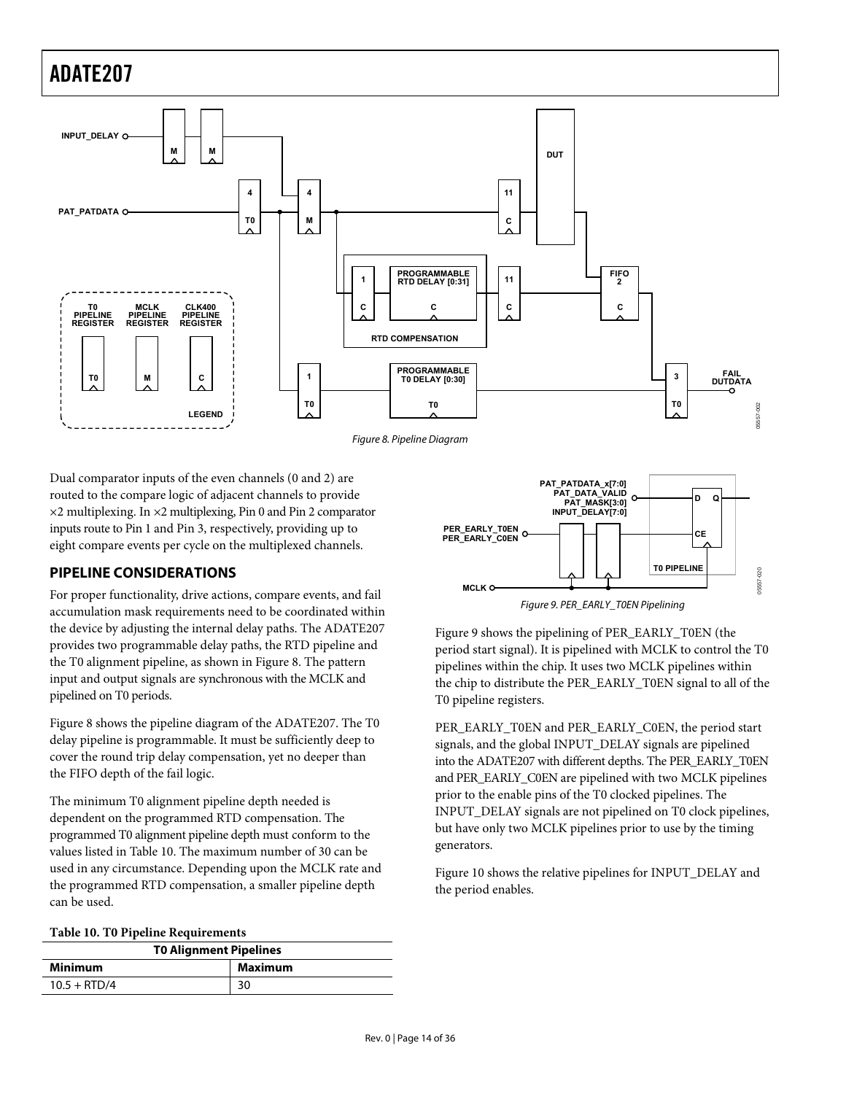<span id="page-13-0"></span>

<span id="page-13-1"></span>Dual comparator inputs of the even channels (0 and 2) are routed to the compare logic of adjacent channels to provide ×2 multiplexing. In ×2 multiplexing, Pin 0 and Pin 2 comparator inputs route to Pin 1 and Pin 3, respectively, providing up to eight compare events per cycle on the multiplexed channels.

### **PIPELINE CONSIDERATIONS**

<span id="page-13-3"></span>For proper functionality, drive actions, compare events, and fail accumulation mask requirements need to be coordinated within the device by adjusting the internal delay paths. The ADATE207 provides two programmable delay paths, the RTD pipeline and the T0 alignment pipeline, as shown in [Figure 8](#page-13-1). The pattern input and output signals are synchronous with the MCLK and pipelined on T0 periods.

[Figure 8](#page-13-1) shows the pipeline diagram of the ADATE207. The T0 delay pipeline is programmable. It must be sufficiently deep to cover the round trip delay compensation, yet no deeper than the FIFO depth of the fail logic.

The minimum T0 alignment pipeline depth needed is dependent on the programmed RTD compensation. The programmed T0 alignment pipeline depth must conform to the values listed in [Table 10](#page-13-2). The maximum number of 30 can be used in any circumstance. Depending upon the MCLK rate and the programmed RTD compensation, a smaller pipeline depth can be used.

#### <span id="page-13-2"></span>**Table 10. T0 Pipeline Requirements**

| <b>TO Alignment Pipelines</b> |         |  |
|-------------------------------|---------|--|
| <b>Minimum</b>                | Maximum |  |
| $10.5 + RTD/4$                | 30      |  |



[Figure 9](#page-13-3) shows the pipelining of PER\_EARLY\_T0EN (the period start signal). It is pipelined with MCLK to control the T0 pipelines within the chip. It uses two MCLK pipelines within the chip to distribute the PER\_EARLY\_T0EN signal to all of the T0 pipeline registers.

PER\_EARLY\_T0EN and PER\_EARLY\_C0EN, the period start signals, and the global INPUT\_DELAY signals are pipelined into the ADATE207 with different depths. The PER\_EARLY\_T0EN and PER\_EARLY\_C0EN are pipelined with two MCLK pipelines prior to the enable pins of the T0 clocked pipelines. The INPUT\_DELAY signals are not pipelined on T0 clock pipelines, but have only two MCLK pipelines prior to use by the timing generators.

[Figure 10](#page-14-1) shows the relative pipelines for INPUT\_DELAY and the period enables.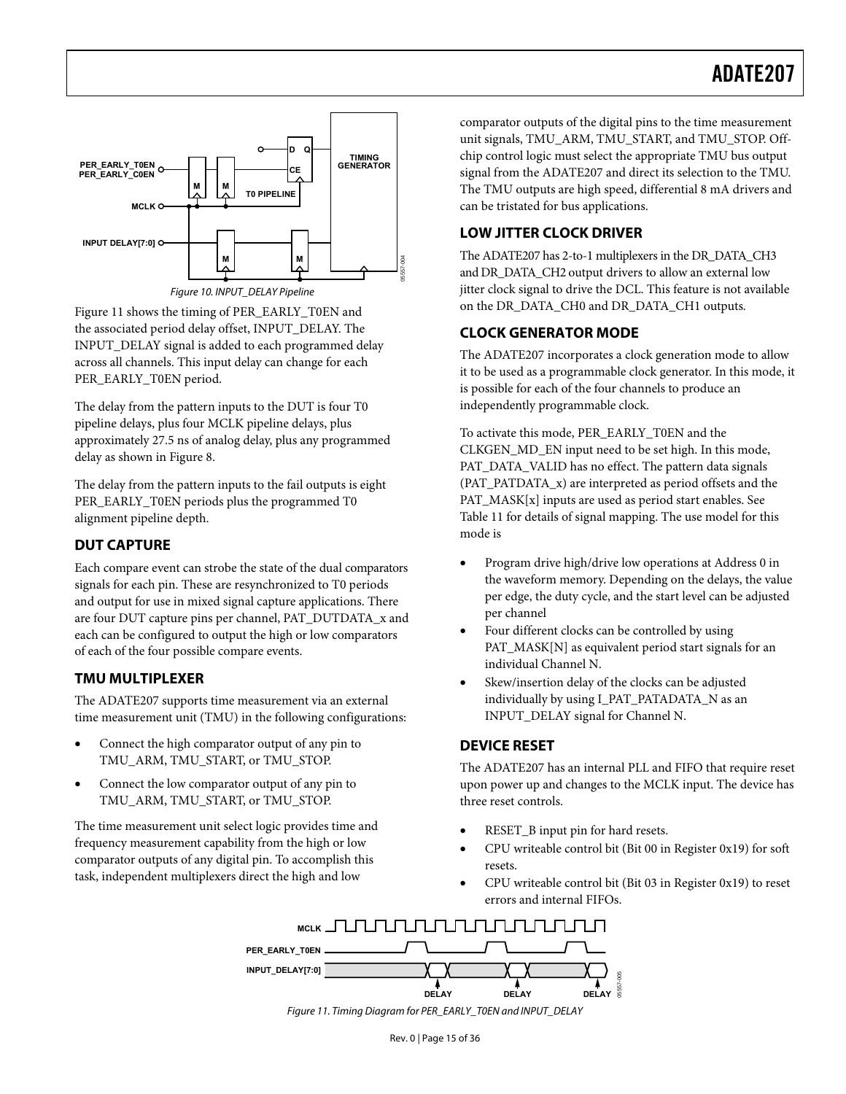<span id="page-14-0"></span>

Figure 10. INPUT\_DELAY Pipeline

<span id="page-14-1"></span>[Figure 11](#page-14-2) shows the timing of PER\_EARLY\_T0EN and the associated period delay offset, INPUT\_DELAY. The INPUT\_DELAY signal is added to each programmed delay across all channels. This input delay can change for each PER\_EARLY\_T0EN period.

The delay from the pattern inputs to the DUT is four T0 pipeline delays, plus four MCLK pipeline delays, plus approximately 27.5 ns of analog delay, plus any programmed delay as shown in [Figure 8](#page-13-1).

The delay from the pattern inputs to the fail outputs is eight PER\_EARLY\_T0EN periods plus the programmed T0 alignment pipeline depth.

### **DUT CAPTURE**

Each compare event can strobe the state of the dual comparators signals for each pin. These are resynchronized to T0 periods and output for use in mixed signal capture applications. There are four DUT capture pins per channel, PAT\_DUTDATA\_x and each can be configured to output the high or low comparators of each of the four possible compare events.

### **TMU MULTIPLEXER**

The ADATE207 supports time measurement via an external time measurement unit (TMU) in the following configurations:

- Connect the high comparator output of any pin to TMU\_ARM, TMU\_START, or TMU\_STOP.
- Connect the low comparator output of any pin to TMU\_ARM, TMU\_START, or TMU\_STOP.

<span id="page-14-2"></span>The time measurement unit select logic provides time and frequency measurement capability from the high or low comparator outputs of any digital pin. To accomplish this task, independent multiplexers direct the high and low

comparator outputs of the digital pins to the time measurement unit signals, TMU\_ARM, TMU\_START, and TMU\_STOP. Offchip control logic must select the appropriate TMU bus output signal from the ADATE207 and direct its selection to the TMU. The TMU outputs are high speed, differential 8 mA drivers and can be tristated for bus applications.

### **LOW JITTER CLOCK DRIVER**

The ADATE207 has 2-to-1 multiplexers in the DR\_DATA\_CH3 and DR\_DATA\_CH2 output drivers to allow an external low jitter clock signal to drive the DCL. This feature is not available on the DR\_DATA\_CH0 and DR\_DATA\_CH1 outputs*.*

### **CLOCK GENERATOR MODE**

The ADATE207 incorporates a clock generation mode to allow it to be used as a programmable clock generator. In this mode, it is possible for each of the four channels to produce an independently programmable clock.

To activate this mode, PER\_EARLY\_T0EN and the CLKGEN\_MD\_EN input need to be set high. In this mode, PAT\_DATA\_VALID has no effect. The pattern data signals (PAT\_PATDATA\_x) are interpreted as period offsets and the PAT  $MASK[x]$  inputs are used as period start enables. See [Table 11](#page-15-0) for details of signal mapping. The use model for this mode is

- Program drive high/drive low operations at Address 0 in the waveform memory. Depending on the delays, the value per edge, the duty cycle, and the start level can be adjusted per channel
- Four different clocks can be controlled by using PAT\_MASK[N] as equivalent period start signals for an individual Channel N.
- Skew/insertion delay of the clocks can be adjusted individually by using I\_PAT\_PATADATA\_N as an INPUT\_DELAY signal for Channel N.

### **DEVICE RESET**

The ADATE207 has an internal PLL and FIFO that require reset upon power up and changes to the MCLK input. The device has three reset controls.

- RESET\_B input pin for hard resets.
- CPU writeable control bit (Bit 00 in Register 0x19) for soft resets.
- CPU writeable control bit (Bit 03 in Register 0x19) to reset errors and internal FIFOs.

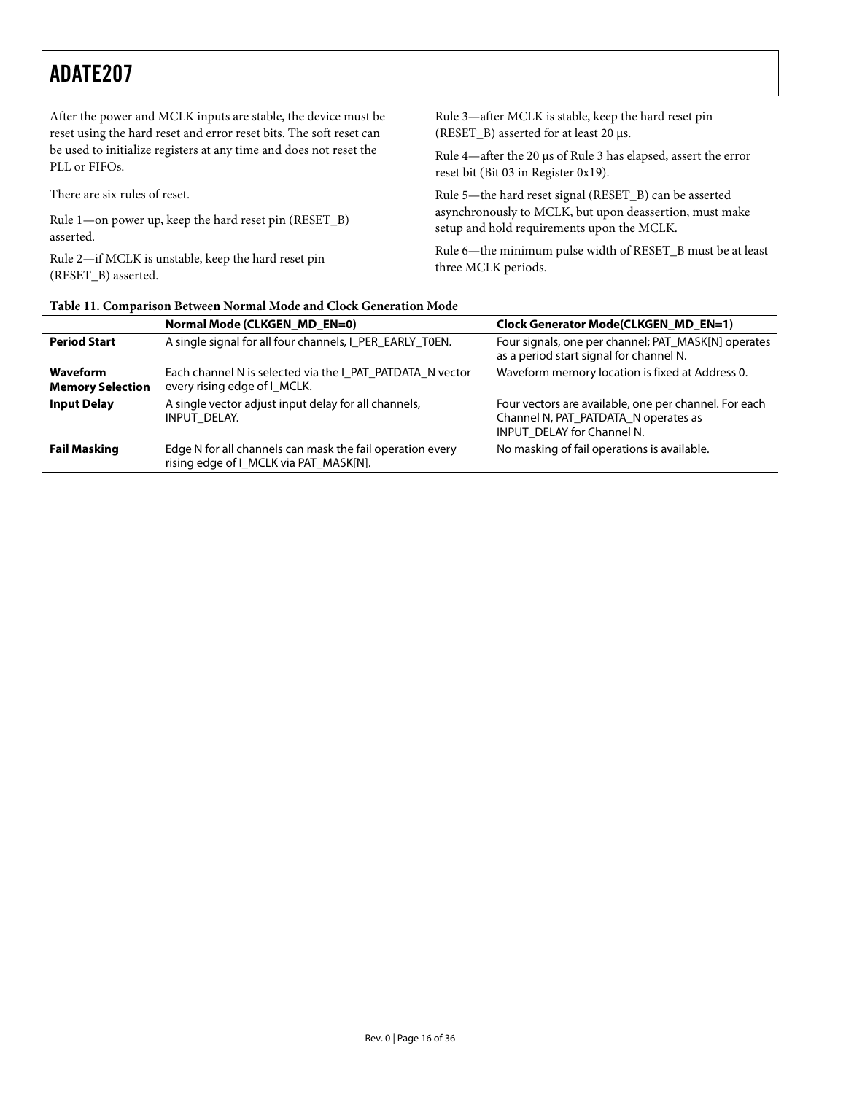| After the power and MCLK inputs are stable, the device must be      | Rule 3—after MCLK is stable, keep the hard reset pin           |
|---------------------------------------------------------------------|----------------------------------------------------------------|
| reset using the hard reset and error reset bits. The soft reset can | (RESET_B) asserted for at least 20 µs.                         |
| be used to initialize registers at any time and does not reset the  | Rule 4—after the 20 μs of Rule 3 has elapsed, assert the error |
| PLL or FIFOs.                                                       | reset bit (Bit 03 in Register 0x19).                           |
| There are six rules of reset.                                       | Rule 5-the hard reset signal (RESET_B) can be asserted         |
| Rule 1—on power up, keep the hard reset pin (RESET_B)               | asynchronously to MCLK, but upon deassertion, must make        |
| asserted.                                                           | setup and hold requirements upon the MCLK.                     |
| Rule 2—if MCLK is unstable, keep the hard reset pin                 | Rule 6-the minimum pulse width of RESET_B must be at least     |
| (RESET B) asserted.                                                 | three MCLK periods.                                            |

| Table 11. Comparison Between Normal Mode and Clock Generation Mode |  |  |  |
|--------------------------------------------------------------------|--|--|--|
|--------------------------------------------------------------------|--|--|--|

<span id="page-15-0"></span>

|                                     | Normal Mode (CLKGEN MD EN=0)                                                                        | Clock Generator Mode(CLKGEN MD EN=1)                                                                                        |  |  |  |
|-------------------------------------|-----------------------------------------------------------------------------------------------------|-----------------------------------------------------------------------------------------------------------------------------|--|--|--|
| <b>Period Start</b>                 | A single signal for all four channels, I_PER_EARLY_T0EN.                                            | Four signals, one per channel; PAT_MASK[N] operates<br>as a period start signal for channel N.                              |  |  |  |
| Waveform<br><b>Memory Selection</b> | Each channel N is selected via the I PAT PATDATA N vector<br>every rising edge of I_MCLK.           | Waveform memory location is fixed at Address 0.                                                                             |  |  |  |
| <b>Input Delay</b>                  | A single vector adjust input delay for all channels,<br>INPUT DELAY.                                | Four vectors are available, one per channel. For each<br>Channel N, PAT_PATDATA_N operates as<br>INPUT DELAY for Channel N. |  |  |  |
| <b>Fail Masking</b>                 | Edge N for all channels can mask the fail operation every<br>rising edge of I MCLK via PAT MASK[N]. | No masking of fail operations is available.                                                                                 |  |  |  |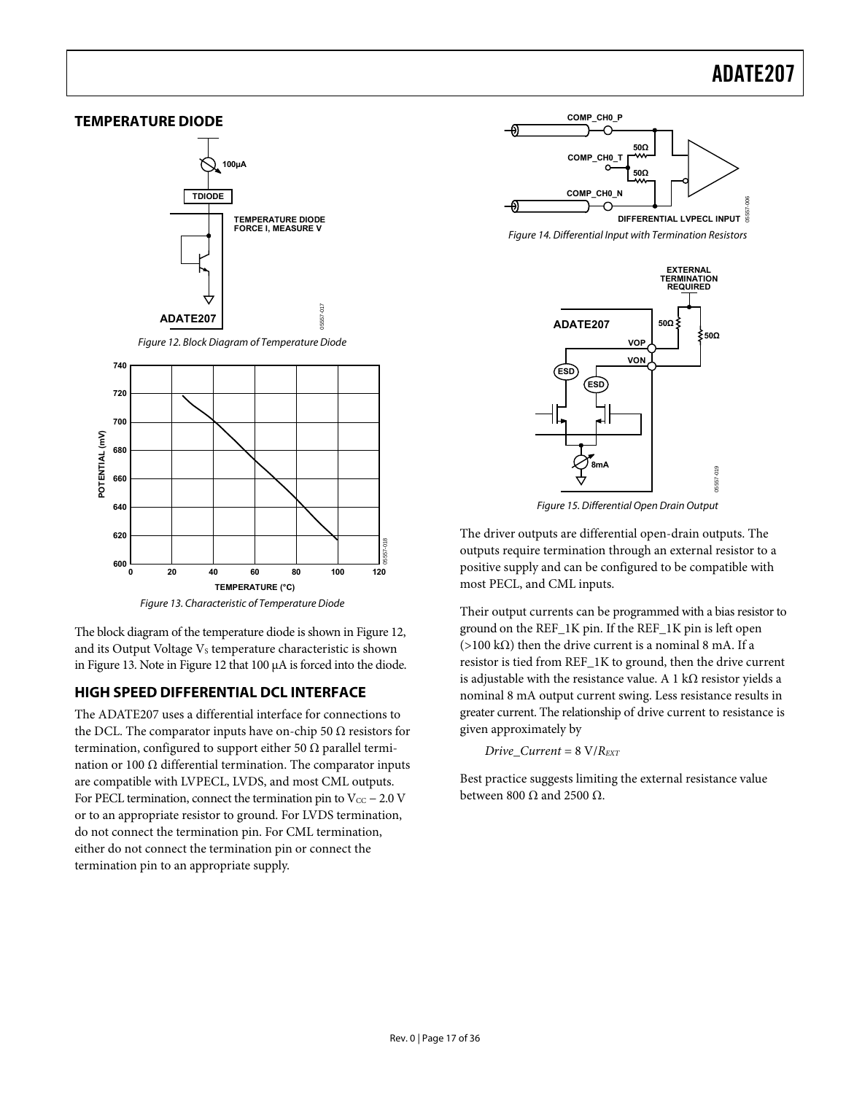<span id="page-16-1"></span><span id="page-16-0"></span>

<span id="page-16-2"></span>The block diagram of the temperature diode is shown in [Figure 12,](#page-16-1) and its Output Voltage  $V_s$  temperature characteristic is shown in [Figure 13](#page-16-2). Note in [Figure 12](#page-16-1) that 100 μA is forced into the diode.

### **HIGH SPEED DIFFERENTIAL DCL INTERFACE**

The ADATE207 uses a differential interface for connections to the DCL. The comparator inputs have on-chip 50  $\Omega$  resistors for termination, configured to support either 50  $\Omega$  parallel termination or 100 Ω differential termination. The comparator inputs are compatible with LVPECL, LVDS, and most CML outputs. For PECL termination, connect the termination pin to  $V_{CC}$  – 2.0 V or to an appropriate resistor to ground. For LVDS termination, do not connect the termination pin. For CML termination, either do not connect the termination pin or connect the termination pin to an appropriate supply.



Figure 14. Differential Input with Termination Resistors



Figure 15. Differential Open Drain Output

The driver outputs are differential open-drain outputs. The outputs require termination through an external resistor to a positive supply and can be configured to be compatible with most PECL, and CML inputs.

Their output currents can be programmed with a bias resistor to ground on the REF\_1K pin. If the REF\_1K pin is left open (>100 kΩ) then the drive current is a nominal 8 mA. If a resistor is tied from REF\_1K to ground, then the drive current is adjustable with the resistance value. A 1 k $\Omega$  resistor yields a nominal 8 mA output current swing. Less resistance results in greater current. The relationship of drive current to resistance is given approximately by

*Drive\_Current* = 8 V/*REXT*

Best practice suggests limiting the external resistance value between 800  $\Omega$  and 2500  $\Omega$ .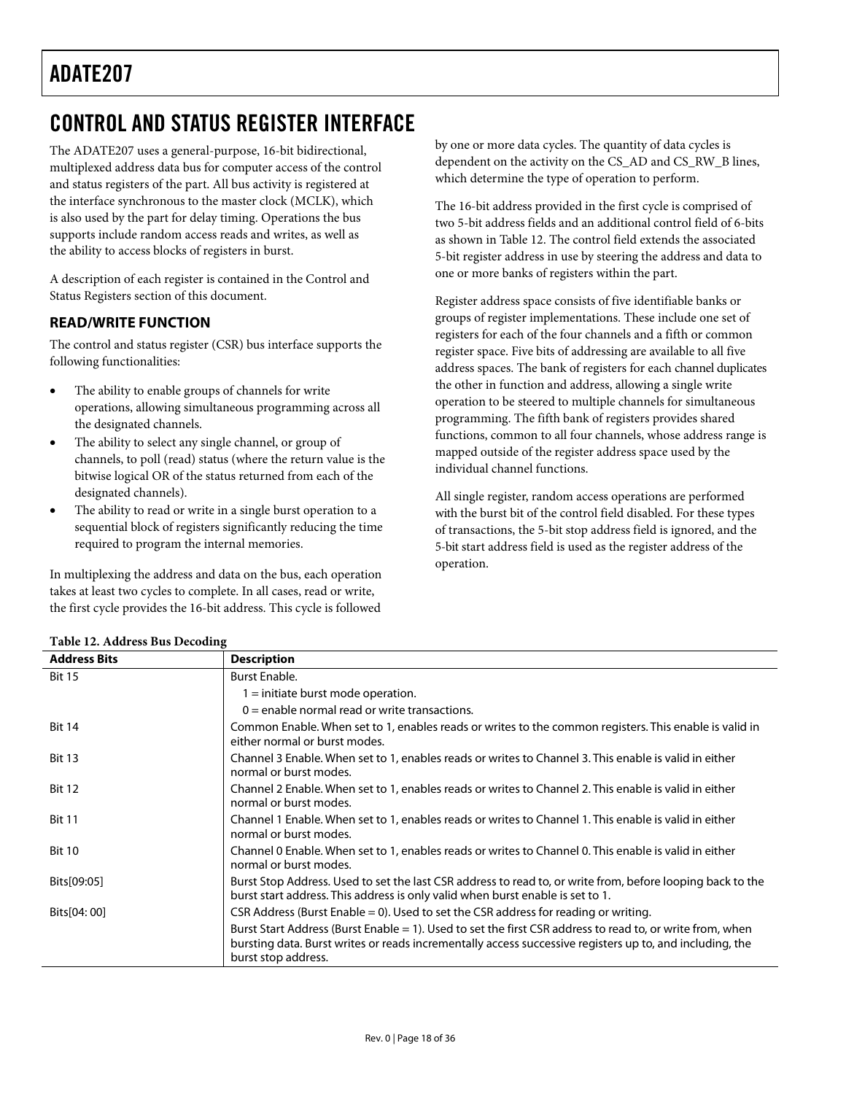## <span id="page-17-0"></span>CONTROL AND STATUS REGISTER INTERFACE

The ADATE207 uses a general-purpose, 16-bit bidirectional, multiplexed address data bus for computer access of the control and status registers of the part. All bus activity is registered at the interface synchronous to the master clock (MCLK), which is also used by the part for delay timing. Operations the bus supports include random access reads and writes, as well as the ability to access blocks of registers in burst.

A description of each register is contained in the [Control and](#page-20-1)  [Status Registers](#page-20-1) section of this document.

### **READ/WRITE FUNCTION**

The control and status register (CSR) bus interface supports the following functionalities:

- The ability to enable groups of channels for write operations, allowing simultaneous programming across all the designated channels.
- The ability to select any single channel, or group of channels, to poll (read) status (where the return value is the bitwise logical OR of the status returned from each of the designated channels).
- The ability to read or write in a single burst operation to a sequential block of registers significantly reducing the time required to program the internal memories.

In multiplexing the address and data on the bus, each operation takes at least two cycles to complete. In all cases, read or write, the first cycle provides the 16-bit address. This cycle is followed

by one or more data cycles. The quantity of data cycles is dependent on the activity on the CS\_AD and CS\_RW\_B lines, which determine the type of operation to perform.

The 16-bit address provided in the first cycle is comprised of two 5-bit address fields and an additional control field of 6-bits as shown in [Table 12](#page-17-1). The control field extends the associated 5-bit register address in use by steering the address and data to one or more banks of registers within the part.

Register address space consists of five identifiable banks or groups of register implementations. These include one set of registers for each of the four channels and a fifth or common register space. Five bits of addressing are available to all five address spaces. The bank of registers for each channel duplicates the other in function and address, allowing a single write operation to be steered to multiple channels for simultaneous programming. The fifth bank of registers provides shared functions, common to all four channels, whose address range is mapped outside of the register address space used by the individual channel functions.

All single register, random access operations are performed with the burst bit of the control field disabled. For these types of transactions, the 5-bit stop address field is ignored, and the 5-bit start address field is used as the register address of the operation.

<span id="page-17-1"></span>

| Table 12. Address bus Decounty |                                                                                                                                                                                                                                              |
|--------------------------------|----------------------------------------------------------------------------------------------------------------------------------------------------------------------------------------------------------------------------------------------|
| <b>Address Bits</b>            | <b>Description</b>                                                                                                                                                                                                                           |
| <b>Bit 15</b>                  | <b>Burst Enable.</b>                                                                                                                                                                                                                         |
|                                | $1 =$ initiate burst mode operation.                                                                                                                                                                                                         |
|                                | $0 =$ enable normal read or write transactions.                                                                                                                                                                                              |
| <b>Bit 14</b>                  | Common Enable. When set to 1, enables reads or writes to the common registers. This enable is valid in<br>either normal or burst modes.                                                                                                      |
| <b>Bit 13</b>                  | Channel 3 Enable. When set to 1, enables reads or writes to Channel 3. This enable is valid in either<br>normal or burst modes.                                                                                                              |
| <b>Bit 12</b>                  | Channel 2 Enable. When set to 1, enables reads or writes to Channel 2. This enable is valid in either<br>normal or burst modes.                                                                                                              |
| <b>Bit 11</b>                  | Channel 1 Enable. When set to 1, enables reads or writes to Channel 1. This enable is valid in either<br>normal or burst modes.                                                                                                              |
| <b>Bit 10</b>                  | Channel 0 Enable. When set to 1, enables reads or writes to Channel 0. This enable is valid in either<br>normal or burst modes.                                                                                                              |
| Bits[09:05]                    | Burst Stop Address. Used to set the last CSR address to read to, or write from, before looping back to the<br>burst start address. This address is only valid when burst enable is set to 1.                                                 |
| Bits[04: 00]                   | CSR Address (Burst Enable = 0). Used to set the CSR address for reading or writing.                                                                                                                                                          |
|                                | Burst Start Address (Burst Enable = 1). Used to set the first CSR address to read to, or write from, when<br>bursting data. Burst writes or reads incrementally access successive registers up to, and including, the<br>burst stop address. |

### **Table 12. Address Bus Decoding**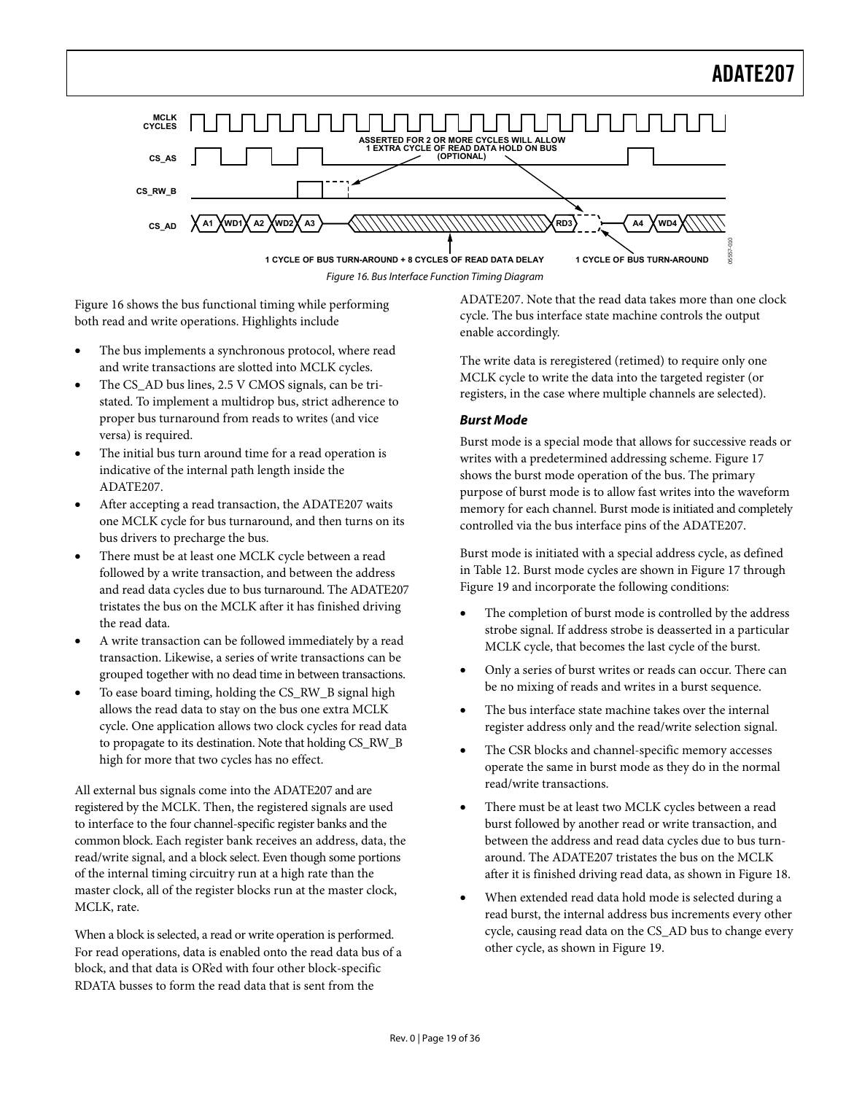

Figure 16. Bus Interface Function Timing Diagram

<span id="page-18-0"></span>[Figure 16](#page-18-0) shows the bus functional timing while performing both read and write operations. Highlights include

- The bus implements a synchronous protocol, where read and write transactions are slotted into MCLK cycles.
- The CS\_AD bus lines, 2.5 V CMOS signals, can be tristated. To implement a multidrop bus, strict adherence to proper bus turnaround from reads to writes (and vice versa) is required.
- The initial bus turn around time for a read operation is indicative of the internal path length inside the ADATE207.
- After accepting a read transaction, the ADATE207 waits one MCLK cycle for bus turnaround, and then turns on its bus drivers to precharge the bus.
- There must be at least one MCLK cycle between a read followed by a write transaction, and between the address and read data cycles due to bus turnaround. The ADATE207 tristates the bus on the MCLK after it has finished driving the read data.
- A write transaction can be followed immediately by a read transaction. Likewise, a series of write transactions can be grouped together with no dead time in between transactions.
- To ease board timing, holding the CS\_RW\_B signal high allows the read data to stay on the bus one extra MCLK cycle. One application allows two clock cycles for read data to propagate to its destination. Note that holding CS\_RW\_B high for more that two cycles has no effect.

All external bus signals come into the ADATE207 and are registered by the MCLK. Then, the registered signals are used to interface to the four channel-specific register banks and the common block. Each register bank receives an address, data, the read/write signal, and a block select. Even though some portions of the internal timing circuitry run at a high rate than the master clock, all of the register blocks run at the master clock, MCLK, rate.

When a block is selected, a read or write operation is performed. For read operations, data is enabled onto the read data bus of a block, and that data is OR'ed with four other block-specific RDATA busses to form the read data that is sent from the

ADATE207. Note that the read data takes more than one clock cycle. The bus interface state machine controls the output enable accordingly.

The write data is reregistered (retimed) to require only one MCLK cycle to write the data into the targeted register (or registers, in the case where multiple channels are selected).

#### **Burst Mode**

Burst mode is a special mode that allows for successive reads or writes with a predetermined addressing scheme. [Figure 17](#page-19-0) shows the burst mode operation of the bus. The primary purpose of burst mode is to allow fast writes into the waveform memory for each channel. Burst mode is initiated and completely controlled via the bus interface pins of the ADATE207.

Burst mode is initiated with a special address cycle, as defined in [Table 12](#page-17-1). Burst mode cycles are shown in [Figure 17](#page-19-0) through [Figure 19](#page-19-1) and incorporate the following conditions:

- The completion of burst mode is controlled by the address strobe signal. If address strobe is deasserted in a particular MCLK cycle, that becomes the last cycle of the burst.
- Only a series of burst writes or reads can occur. There can be no mixing of reads and writes in a burst sequence.
- The bus interface state machine takes over the internal register address only and the read/write selection signal.
- The CSR blocks and channel-specific memory accesses operate the same in burst mode as they do in the normal read/write transactions.
- There must be at least two MCLK cycles between a read burst followed by another read or write transaction, and between the address and read data cycles due to bus turnaround. The ADATE207 tristates the bus on the MCLK after it is finished driving read data, as shown in [Figure 18](#page-19-2).
- When extended read data hold mode is selected during a read burst, the internal address bus increments every other cycle, causing read data on the CS\_AD bus to change every other cycle, as shown in [Figure 19.](#page-19-1)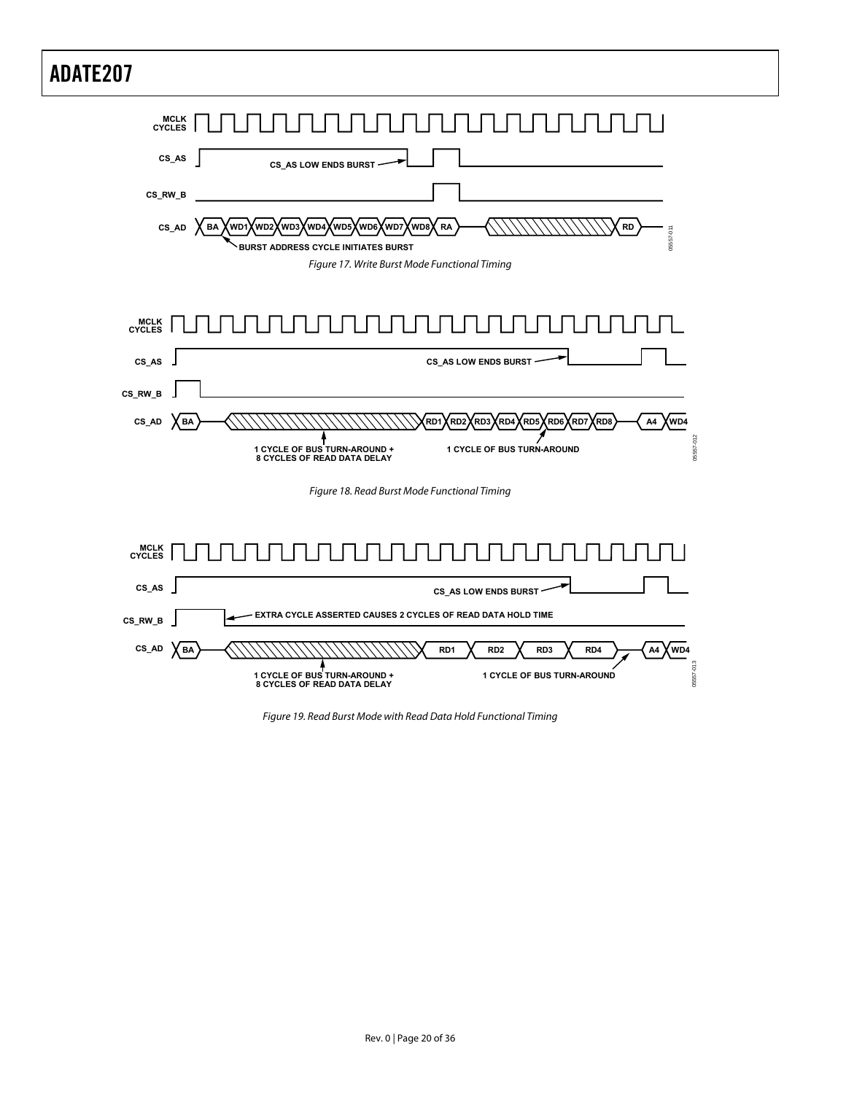<span id="page-19-0"></span>

<span id="page-19-2"></span><span id="page-19-1"></span>Figure 19. Read Burst Mode with Read Data Hold Functional Timing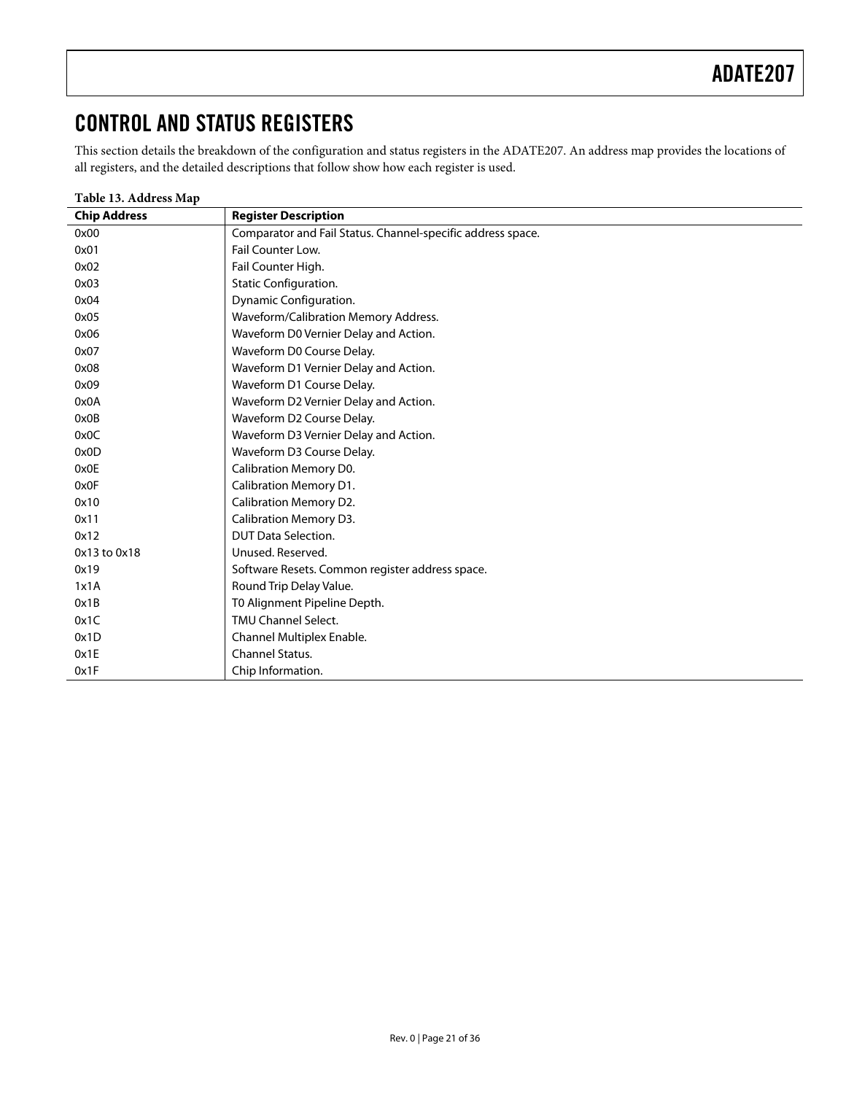## <span id="page-20-1"></span><span id="page-20-0"></span>CONTROL AND STATUS REGISTERS

This section details the breakdown of the configuration and status registers in the ADATE207. An address map provides the locations of all registers, and the detailed descriptions that follow show how each register is used.

| Table 13. Address Map |                                                             |
|-----------------------|-------------------------------------------------------------|
| <b>Chip Address</b>   | <b>Register Description</b>                                 |
| 0x00                  | Comparator and Fail Status. Channel-specific address space. |
| 0x01                  | Fail Counter Low.                                           |
| 0x02                  | Fail Counter High.                                          |
| 0x03                  | Static Configuration.                                       |
| 0x04                  | Dynamic Configuration.                                      |
| 0x05                  | Waveform/Calibration Memory Address.                        |
| 0x06                  | Waveform D0 Vernier Delay and Action.                       |
| 0x07                  | Waveform D0 Course Delay.                                   |
| 0x08                  | Waveform D1 Vernier Delay and Action.                       |
| 0x09                  | Waveform D1 Course Delay.                                   |
| 0x0A                  | Waveform D2 Vernier Delay and Action.                       |
| 0x0B                  | Waveform D2 Course Delay.                                   |
| 0x0C                  | Waveform D3 Vernier Delay and Action.                       |
| 0x0D                  | Waveform D3 Course Delay.                                   |
| 0x0E                  | Calibration Memory D0.                                      |
| 0x0F                  | Calibration Memory D1.                                      |
| 0x10                  | Calibration Memory D2.                                      |
| 0x11                  | Calibration Memory D3.                                      |
| 0x12                  | <b>DUT Data Selection.</b>                                  |
| 0x13 to 0x18          | Unused, Reserved.                                           |
| 0x19                  | Software Resets. Common register address space.             |
| 1x1A                  | Round Trip Delay Value.                                     |
| 0x1B                  | T0 Alignment Pipeline Depth.                                |
| 0x1C                  | <b>TMU Channel Select.</b>                                  |
| 0x1D                  | Channel Multiplex Enable.                                   |
| 0x1E                  | Channel Status.                                             |
| 0x1F                  | Chip Information.                                           |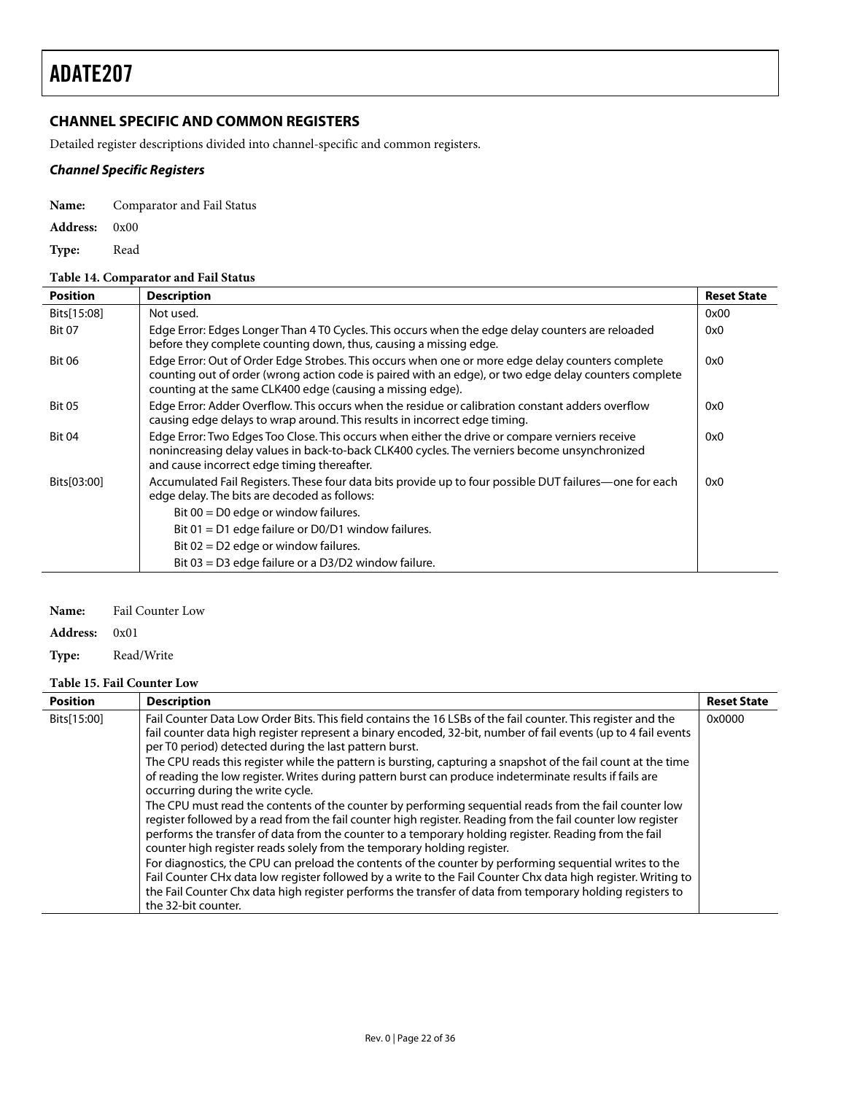### <span id="page-21-0"></span>**CHANNEL SPECIFIC AND COMMON REGISTERS**

Detailed register descriptions divided into channel-specific and common registers.

### **Channel Specific Registers**

**Name:** Comparator and Fail Status

**Address:** 0x00

**Type:** Read

#### **Table 14. Comparator and Fail Status**

| <b>Position</b> | <b>Description</b>                                                                                                                                                                                                                                                      | <b>Reset State</b> |
|-----------------|-------------------------------------------------------------------------------------------------------------------------------------------------------------------------------------------------------------------------------------------------------------------------|--------------------|
| Bits[15:08]     | Not used.                                                                                                                                                                                                                                                               | 0x00               |
| <b>Bit 07</b>   | Edge Error: Edges Longer Than 4 T0 Cycles. This occurs when the edge delay counters are reloaded<br>before they complete counting down, thus, causing a missing edge.                                                                                                   | 0x0                |
| <b>Bit 06</b>   | Edge Error: Out of Order Edge Strobes. This occurs when one or more edge delay counters complete<br>counting out of order (wrong action code is paired with an edge), or two edge delay counters complete<br>counting at the same CLK400 edge (causing a missing edge). | 0x0                |
| <b>Bit 05</b>   | Edge Error: Adder Overflow. This occurs when the residue or calibration constant adders overflow<br>causing edge delays to wrap around. This results in incorrect edge timing.                                                                                          | 0x0                |
| <b>Bit 04</b>   | Edge Error: Two Edges Too Close. This occurs when either the drive or compare verniers receive<br>nonincreasing delay values in back-to-back CLK400 cycles. The verniers become unsynchronized<br>and cause incorrect edge timing thereafter.                           | 0x0                |
| Bits[03:00]     | Accumulated Fail Registers. These four data bits provide up to four possible DUT failures—one for each<br>edge delay. The bits are decoded as follows:                                                                                                                  | 0x0                |
|                 | Bit $00 = D0$ edge or window failures.                                                                                                                                                                                                                                  |                    |
|                 | Bit $01 = D1$ edge failure or D0/D1 window failures.                                                                                                                                                                                                                    |                    |
|                 | Bit $02 = D2$ edge or window failures.                                                                                                                                                                                                                                  |                    |
|                 | Bit 03 = D3 edge failure or a D3/D2 window failure.                                                                                                                                                                                                                     |                    |

#### **Name:** Fail Counter Low

#### **Address:** 0x01

#### **Type:** Read/Write

#### **Table 15. Fail Counter Low**

<span id="page-21-1"></span>

| <b>Position</b> | <b>Description</b>                                                                                                                                                                                                                                                                                                                                                                                                                                                                                                                                                                                                                                                                                                                                                                                                                                                                                                                                                                                                                                                                                                                                                                                                                                                                                                                     | <b>Reset State</b> |
|-----------------|----------------------------------------------------------------------------------------------------------------------------------------------------------------------------------------------------------------------------------------------------------------------------------------------------------------------------------------------------------------------------------------------------------------------------------------------------------------------------------------------------------------------------------------------------------------------------------------------------------------------------------------------------------------------------------------------------------------------------------------------------------------------------------------------------------------------------------------------------------------------------------------------------------------------------------------------------------------------------------------------------------------------------------------------------------------------------------------------------------------------------------------------------------------------------------------------------------------------------------------------------------------------------------------------------------------------------------------|--------------------|
| Bits[15:00]     | Fail Counter Data Low Order Bits. This field contains the 16 LSBs of the fail counter. This register and the<br>fail counter data high register represent a binary encoded, 32-bit, number of fail events (up to 4 fail events<br>per T0 period) detected during the last pattern burst.<br>The CPU reads this register while the pattern is bursting, capturing a snapshot of the fail count at the time<br>of reading the low register. Writes during pattern burst can produce indeterminate results if fails are<br>occurring during the write cycle.<br>The CPU must read the contents of the counter by performing sequential reads from the fail counter low<br>register followed by a read from the fail counter high register. Reading from the fail counter low register<br>performs the transfer of data from the counter to a temporary holding register. Reading from the fail<br>counter high register reads solely from the temporary holding register.<br>For diagnostics, the CPU can preload the contents of the counter by performing sequential writes to the<br>Fail Counter CHx data low register followed by a write to the Fail Counter Chx data high register. Writing to<br>the Fail Counter Chx data high register performs the transfer of data from temporary holding registers to<br>the 32-bit counter. | 0x0000             |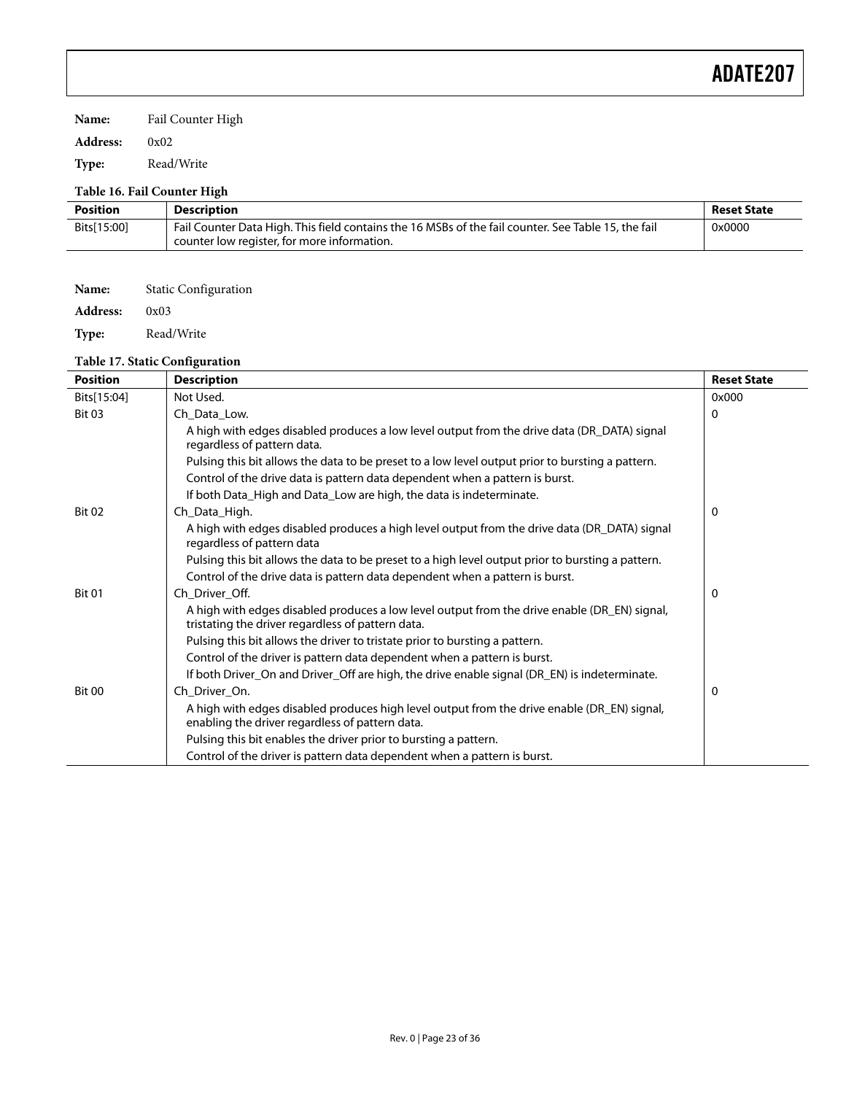**Name:** Fail Counter High

**Address:** 0x02

**Type:** Read/Write

### **Table 16. Fail Counter High**

| <b>Position</b> | <b>Description</b>                                                                                                                                 | <b>Reset State</b> |
|-----------------|----------------------------------------------------------------------------------------------------------------------------------------------------|--------------------|
| Bits[15:00]     | Fail Counter Data High. This field contains the 16 MSBs of the fail counter. See Table 15, the fail<br>counter low register, for more information. | 0x0000             |

| Name:           | <b>Static Configuration</b> |
|-----------------|-----------------------------|
| <b>Address:</b> | 0x03                        |
| Type:           | Read/Write                  |

#### **Table 17. Static Configuration**

| <b>Position</b> | <b>Description</b>                                                                                                                                | <b>Reset State</b> |
|-----------------|---------------------------------------------------------------------------------------------------------------------------------------------------|--------------------|
| Bits[15:04]     | Not Used.                                                                                                                                         | 0x000              |
| <b>Bit 03</b>   | Ch Data Low.                                                                                                                                      | 0                  |
|                 | A high with edges disabled produces a low level output from the drive data (DR_DATA) signal<br>regardless of pattern data.                        |                    |
|                 | Pulsing this bit allows the data to be preset to a low level output prior to bursting a pattern.                                                  |                    |
|                 | Control of the drive data is pattern data dependent when a pattern is burst.                                                                      |                    |
|                 | If both Data_High and Data_Low are high, the data is indeterminate.                                                                               |                    |
| <b>Bit 02</b>   | Ch_Data_High.                                                                                                                                     | 0                  |
|                 | A high with edges disabled produces a high level output from the drive data (DR_DATA) signal<br>regardless of pattern data                        |                    |
|                 | Pulsing this bit allows the data to be preset to a high level output prior to bursting a pattern.                                                 |                    |
|                 | Control of the drive data is pattern data dependent when a pattern is burst.                                                                      |                    |
| <b>Bit 01</b>   | Ch Driver Off.                                                                                                                                    | 0                  |
|                 | A high with edges disabled produces a low level output from the drive enable (DR_EN) signal,<br>tristating the driver regardless of pattern data. |                    |
|                 | Pulsing this bit allows the driver to tristate prior to bursting a pattern.                                                                       |                    |
|                 | Control of the driver is pattern data dependent when a pattern is burst.                                                                          |                    |
|                 | If both Driver_On and Driver_Off are high, the drive enable signal (DR_EN) is indeterminate.                                                      |                    |
| <b>Bit 00</b>   | Ch Driver On.                                                                                                                                     | 0                  |
|                 | A high with edges disabled produces high level output from the drive enable (DR_EN) signal,<br>enabling the driver regardless of pattern data.    |                    |
|                 | Pulsing this bit enables the driver prior to bursting a pattern.                                                                                  |                    |
|                 | Control of the driver is pattern data dependent when a pattern is burst.                                                                          |                    |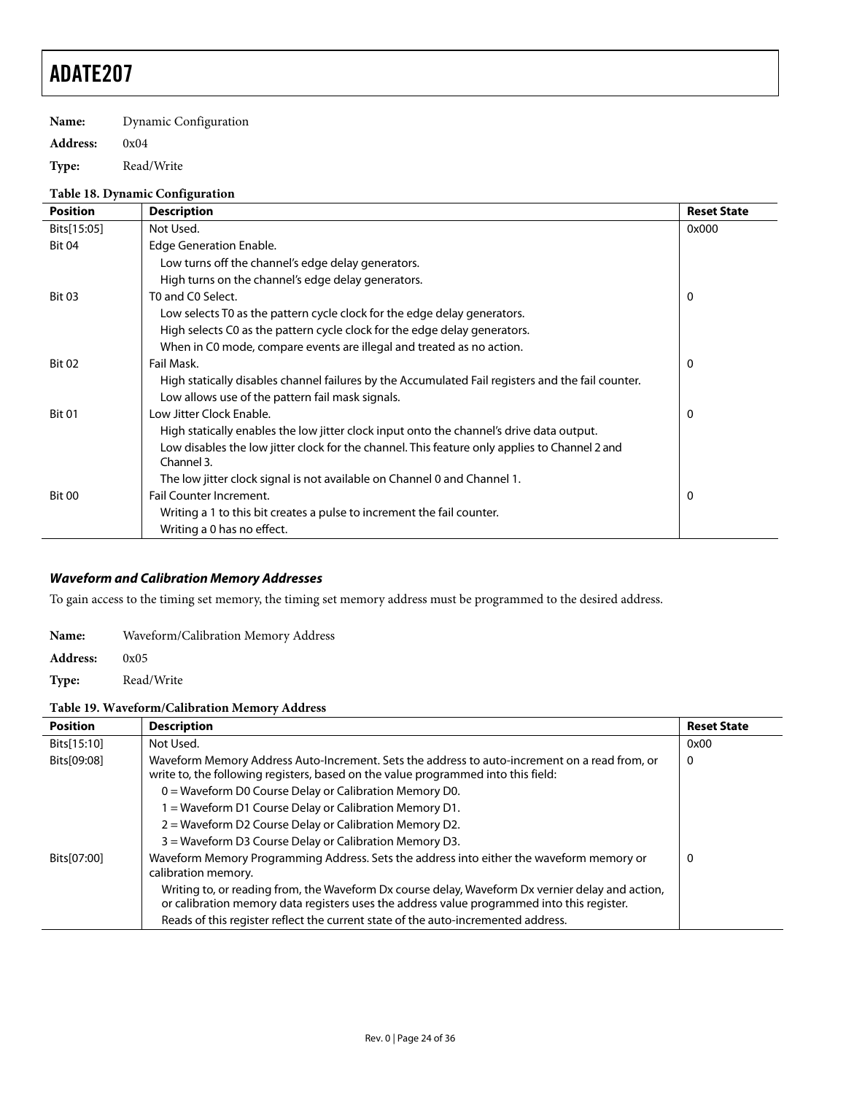**Name:** Dynamic Configuration

#### **Address:** 0x04

**Type:** Read/Write

#### **Table 18. Dynamic Configuration**

| <b>Position</b> | <b>Description</b>                                                                                          | <b>Reset State</b> |
|-----------------|-------------------------------------------------------------------------------------------------------------|--------------------|
| Bits[15:05]     | Not Used.                                                                                                   | 0x000              |
| <b>Bit 04</b>   | <b>Edge Generation Enable.</b>                                                                              |                    |
|                 | Low turns off the channel's edge delay generators.                                                          |                    |
|                 | High turns on the channel's edge delay generators.                                                          |                    |
| <b>Bit 03</b>   | T0 and C0 Select.                                                                                           | 0                  |
|                 | Low selects T0 as the pattern cycle clock for the edge delay generators.                                    |                    |
|                 | High selects C0 as the pattern cycle clock for the edge delay generators.                                   |                    |
|                 | When in C0 mode, compare events are illegal and treated as no action.                                       |                    |
| <b>Bit 02</b>   | Fail Mask.                                                                                                  | 0                  |
|                 | High statically disables channel failures by the Accumulated Fail registers and the fail counter.           |                    |
|                 | Low allows use of the pattern fail mask signals.                                                            |                    |
| <b>Bit 01</b>   | Low Jitter Clock Enable.                                                                                    | 0                  |
|                 | High statically enables the low jitter clock input onto the channel's drive data output.                    |                    |
|                 | Low disables the low jitter clock for the channel. This feature only applies to Channel 2 and<br>Channel 3. |                    |
|                 | The low jitter clock signal is not available on Channel 0 and Channel 1.                                    |                    |
| <b>Bit 00</b>   | Fail Counter Increment.                                                                                     | 0                  |
|                 | Writing a 1 to this bit creates a pulse to increment the fail counter.                                      |                    |
|                 | Writing a 0 has no effect.                                                                                  |                    |

#### **Waveform and Calibration Memory Addresses**

To gain access to the timing set memory, the timing set memory address must be programmed to the desired address.

| Name:           | Waveform/Calibration Memory Address |
|-----------------|-------------------------------------|
| <b>Address:</b> | 0x05                                |

**Type:** Read/Write

#### **Table 19. Waveform/Calibration Memory Address**

| <b>Position</b> | <b>Description</b>                                                                                                                                                                             | <b>Reset State</b> |
|-----------------|------------------------------------------------------------------------------------------------------------------------------------------------------------------------------------------------|--------------------|
| Bits[15:10]     | Not Used.                                                                                                                                                                                      | 0x00               |
| Bits[09:08]     | Waveform Memory Address Auto-Increment. Sets the address to auto-increment on a read from, or<br>write to, the following registers, based on the value programmed into this field:             | 0                  |
|                 | $0 =$ Waveform D0 Course Delay or Calibration Memory D0.                                                                                                                                       |                    |
|                 | 1 = Waveform D1 Course Delay or Calibration Memory D1.                                                                                                                                         |                    |
|                 | 2 = Waveform D2 Course Delay or Calibration Memory D2.                                                                                                                                         |                    |
|                 | 3 = Waveform D3 Course Delay or Calibration Memory D3.                                                                                                                                         |                    |
| Bits[07:00]     | Waveform Memory Programming Address. Sets the address into either the waveform memory or<br>calibration memory.                                                                                | 0                  |
|                 | Writing to, or reading from, the Waveform Dx course delay, Waveform Dx vernier delay and action,<br>or calibration memory data registers uses the address value programmed into this register. |                    |
|                 | Reads of this register reflect the current state of the auto-incremented address.                                                                                                              |                    |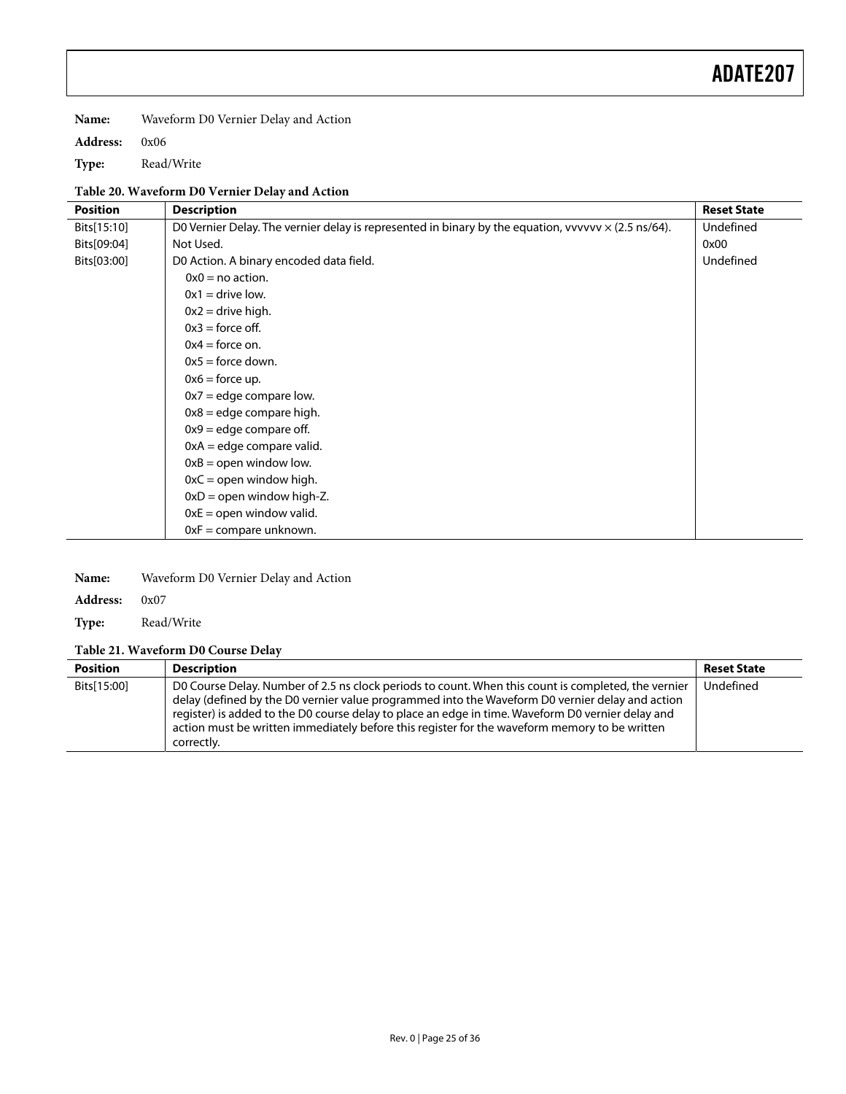**Name:** Waveform D0 Vernier Delay and Action

**Address:** 0x06

**Type:** Read/Write

### **Table 20. Waveform D0 Vernier Delay and Action**

| <b>Position</b> | <b>Description</b>                                                                                         | <b>Reset State</b> |
|-----------------|------------------------------------------------------------------------------------------------------------|--------------------|
| Bits[15:10]     | D0 Vernier Delay. The vernier delay is represented in binary by the equation, vvvvvv $\times$ (2.5 ns/64). | Undefined          |
| Bits[09:04]     | Not Used.                                                                                                  | 0x00               |
| Bits[03:00]     | D0 Action. A binary encoded data field.                                                                    | Undefined          |
|                 | $0x0 = no$ action.                                                                                         |                    |
|                 | $0x1 =$ drive low.                                                                                         |                    |
|                 | $0x2 =$ drive high.                                                                                        |                    |
|                 | $0x3$ = force off.                                                                                         |                    |
|                 | $0x4 =$ force on.                                                                                          |                    |
|                 | $0x5 =$ force down.                                                                                        |                    |
|                 | $0x6 =$ force up.                                                                                          |                    |
|                 | $0x7$ = edge compare low.                                                                                  |                    |
|                 | $0x8 =$ edge compare high.                                                                                 |                    |
|                 | $0x9 =$ edge compare off.                                                                                  |                    |
|                 | $0xA = edge compare valid.$                                                                                |                    |
|                 | $0xB =$ open window low.                                                                                   |                    |
|                 | $0xC =$ open window high.                                                                                  |                    |
|                 | $0xD =$ open window high-Z.                                                                                |                    |
|                 | $0xE =$ open window valid.                                                                                 |                    |
|                 | $0xF = \text{compare unknown}.$                                                                            |                    |

| Name: | Waveform D0 Vernier Delay and Action |
|-------|--------------------------------------|
|-------|--------------------------------------|

**Address:** 0x07

**Type:** Read/Write

#### **Table 21. Waveform D0 Course Delay**

| <b>Position</b> | <b>Description</b>                                                                                                                                                                                                                                                                                                                                                                                                         | <b>Reset State</b> |
|-----------------|----------------------------------------------------------------------------------------------------------------------------------------------------------------------------------------------------------------------------------------------------------------------------------------------------------------------------------------------------------------------------------------------------------------------------|--------------------|
| Bits[15:00]     | D0 Course Delay. Number of 2.5 ns clock periods to count. When this count is completed, the vernier<br>delay (defined by the D0 vernier value programmed into the Waveform D0 vernier delay and action<br>register) is added to the D0 course delay to place an edge in time. Waveform D0 vernier delay and<br>action must be written immediately before this register for the waveform memory to be written<br>correctly. | Undefined          |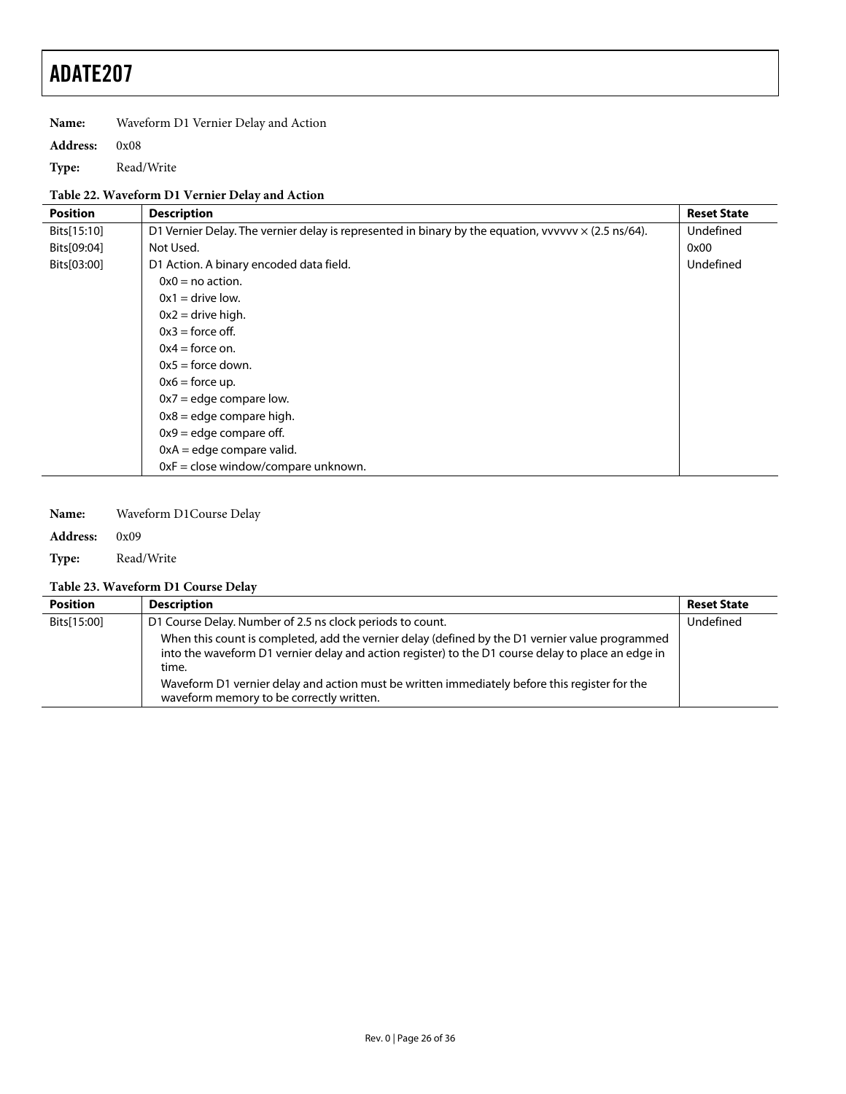**Name:** Waveform D1 Vernier Delay and Action

**Address:** 0x08

**Type:** Read/Write

#### **Table 22. Waveform D1 Vernier Delay and Action**

| <b>Position</b> | <b>Description</b>                                                                                         | <b>Reset State</b> |
|-----------------|------------------------------------------------------------------------------------------------------------|--------------------|
| Bits[15:10]     | D1 Vernier Delay. The vernier delay is represented in binary by the equation, vvvvvv $\times$ (2.5 ns/64). | Undefined          |
| Bits[09:04]     | Not Used.                                                                                                  | 0x00               |
| Bits[03:00]     | D1 Action. A binary encoded data field.                                                                    | Undefined          |
|                 | $0x0 = no$ action.                                                                                         |                    |
|                 | $0x1 =$ drive low.                                                                                         |                    |
|                 | $0x2 =$ drive high.                                                                                        |                    |
|                 | $0x3$ = force off.                                                                                         |                    |
|                 | $0x4 =$ force on.                                                                                          |                    |
|                 | $0x5 =$ force down.                                                                                        |                    |
|                 | $0x6 =$ force up.                                                                                          |                    |
|                 | $0x7 =$ edge compare low.                                                                                  |                    |
|                 | $0x8 =$ edge compare high.                                                                                 |                    |
|                 | $0x9 =$ edge compare off.                                                                                  |                    |
|                 | $0xA =$ edge compare valid.                                                                                |                    |
|                 | $0xF = close window/compare unknown.$                                                                      |                    |

**Name:** Waveform D1Course Delay

**Address:** 0x09

**Type:** Read/Write

### **Table 23. Waveform D1 Course Delay**

| <b>Position</b> | <b>Description</b>                                                                                                                                                                                             | <b>Reset State</b> |
|-----------------|----------------------------------------------------------------------------------------------------------------------------------------------------------------------------------------------------------------|--------------------|
| Bits[15:00]     | D1 Course Delay. Number of 2.5 ns clock periods to count.                                                                                                                                                      | Undefined          |
|                 | When this count is completed, add the vernier delay (defined by the D1 vernier value programmed<br>into the waveform D1 vernier delay and action register) to the D1 course delay to place an edge in<br>time. |                    |
|                 | Waveform D1 vernier delay and action must be written immediately before this register for the<br>waveform memory to be correctly written.                                                                      |                    |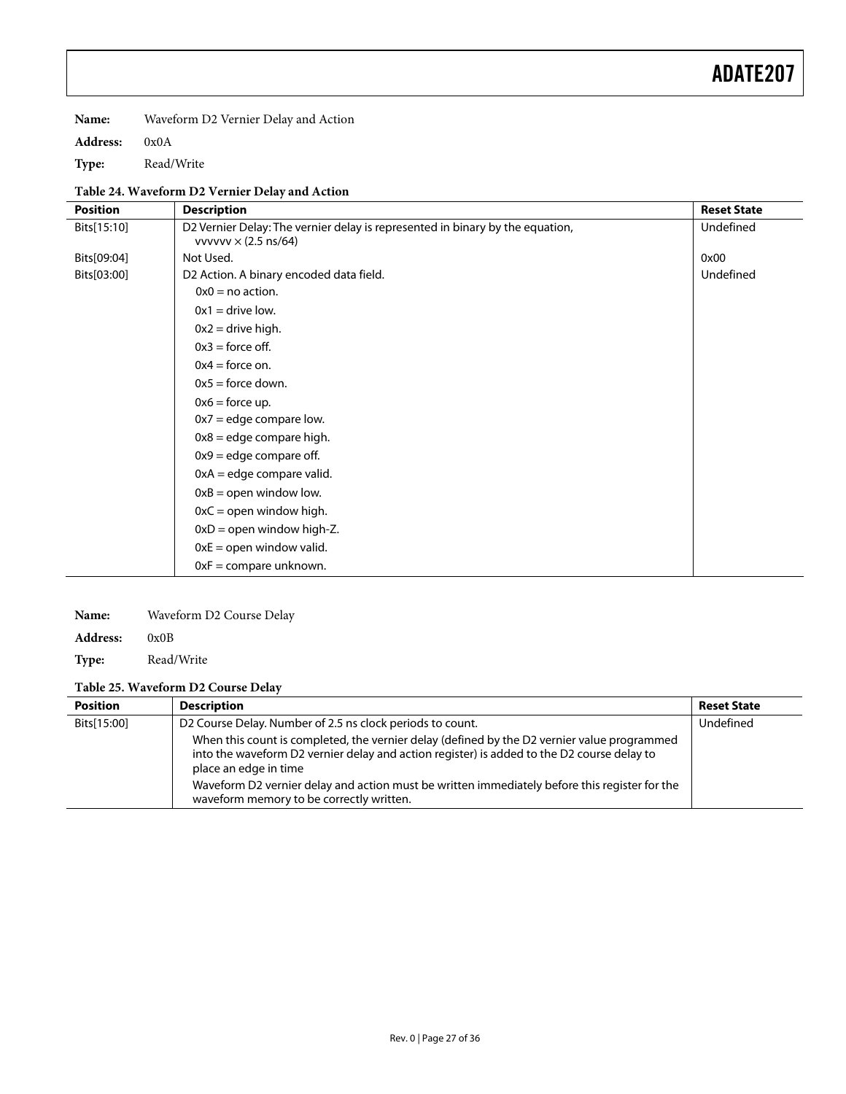**Name:** Waveform D2 Vernier Delay and Action

**Address:** 0x0A

**Type:** Read/Write

#### **Table 24. Waveform D2 Vernier Delay and Action**

| <b>Position</b> | <b>Description</b>                                                                                           | <b>Reset State</b> |
|-----------------|--------------------------------------------------------------------------------------------------------------|--------------------|
| Bits[15:10]     | D2 Vernier Delay: The vernier delay is represented in binary by the equation,<br>vvvvvv $\times$ (2.5 ns/64) | Undefined          |
| Bits[09:04]     | Not Used.                                                                                                    | 0x00               |
| Bits[03:00]     | D2 Action. A binary encoded data field.                                                                      | Undefined          |
|                 | $0x0 = no$ action.                                                                                           |                    |
|                 | $0x1 =$ drive low.                                                                                           |                    |
|                 | $0x2 =$ drive high.                                                                                          |                    |
|                 | $0x3$ = force off.                                                                                           |                    |
|                 | $0x4 =$ force on.                                                                                            |                    |
|                 | $0x5 =$ force down.                                                                                          |                    |
|                 | $0x6 =$ force up.                                                                                            |                    |
|                 | $0x7$ = edge compare low.                                                                                    |                    |
|                 | $0x8 =$ edge compare high.                                                                                   |                    |
|                 | $0x9 =$ edge compare off.                                                                                    |                    |
|                 | $0xA =$ edge compare valid.                                                                                  |                    |
|                 | $0xB =$ open window low.                                                                                     |                    |
|                 | $0xC =$ open window high.                                                                                    |                    |
|                 | $0xD =$ open window high-Z.                                                                                  |                    |
|                 | $0xE =$ open window valid.                                                                                   |                    |
|                 | $0xF =$ compare unknown.                                                                                     |                    |

**Name:** Waveform D2 Course Delay

**Address:** 0x0B

**Type:** Read/Write

#### **Table 25. Waveform D2 Course Delay**

| <b>Position</b> | <b>Description</b>                                                                                                                                                                                                 | <b>Reset State</b> |
|-----------------|--------------------------------------------------------------------------------------------------------------------------------------------------------------------------------------------------------------------|--------------------|
| Bits[15:00]     | D2 Course Delay. Number of 2.5 ns clock periods to count.                                                                                                                                                          | Undefined          |
|                 | When this count is completed, the vernier delay (defined by the D2 vernier value programmed<br>into the waveform D2 vernier delay and action register) is added to the D2 course delay to<br>place an edge in time |                    |
|                 | Waveform D2 vernier delay and action must be written immediately before this register for the<br>waveform memory to be correctly written.                                                                          |                    |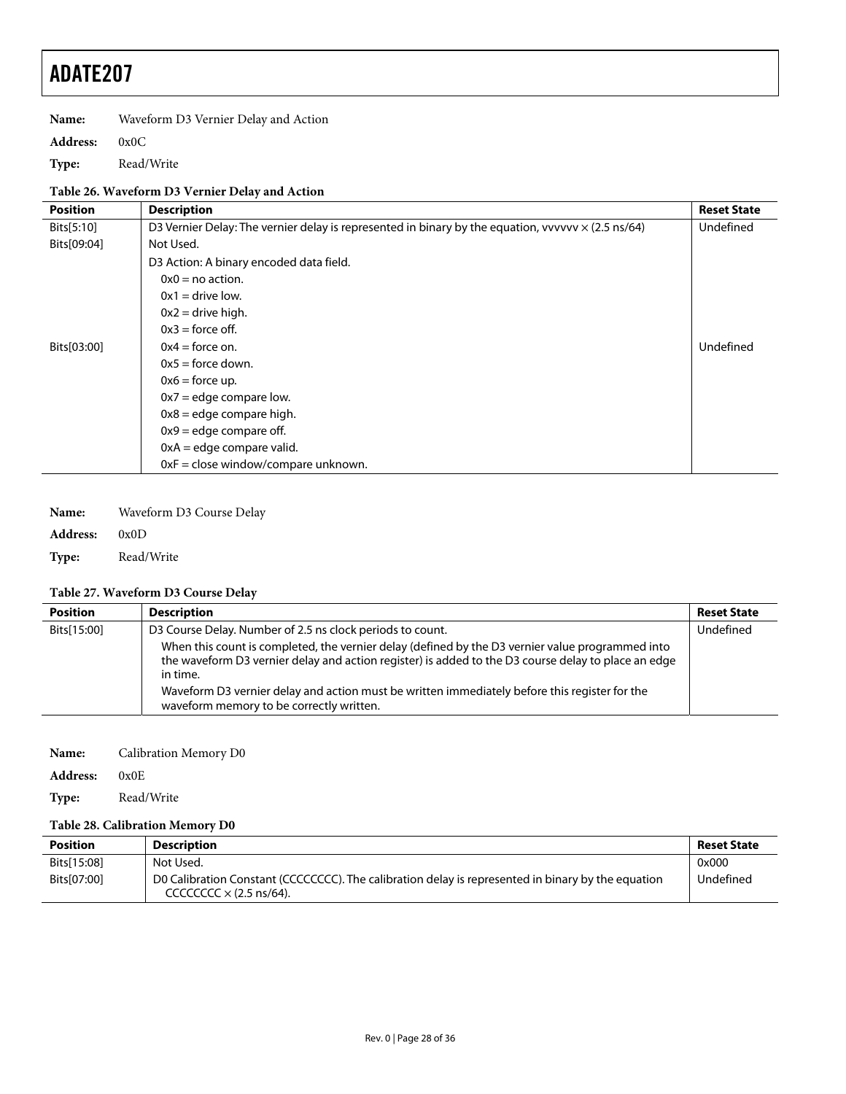**Name:** Waveform D3 Vernier Delay and Action

**Address:** 0x0C

**Type:** Read/Write

### **Table 26. Waveform D3 Vernier Delay and Action**

| <b>Position</b> | <b>Description</b>                                                                                        | <b>Reset State</b> |
|-----------------|-----------------------------------------------------------------------------------------------------------|--------------------|
| Bits[5:10]      | D3 Vernier Delay: The vernier delay is represented in binary by the equation, vvvvvv $\times$ (2.5 ns/64) | Undefined          |
| Bits[09:04]     | Not Used.                                                                                                 |                    |
|                 | D3 Action: A binary encoded data field.                                                                   |                    |
|                 | $0x0 = no$ action.                                                                                        |                    |
|                 | $0x1 =$ drive low.                                                                                        |                    |
|                 | $0x2 =$ drive high.                                                                                       |                    |
|                 | $0x3$ = force off.                                                                                        |                    |
| Bits[03:00]     | $0x4 =$ force on.                                                                                         | Undefined          |
|                 | $0x5 =$ force down.                                                                                       |                    |
|                 | $0x6 =$ force up.                                                                                         |                    |
|                 | $0x7 =$ edge compare low.                                                                                 |                    |
|                 | $0x8 =$ edge compare high.                                                                                |                    |
|                 | $0x9 =$ edge compare off.                                                                                 |                    |
|                 | $0xA = edge compare valid.$                                                                               |                    |
|                 | $0xF = close window/compare unknown.$                                                                     |                    |

**Name:** Waveform D3 Course Delay

**Address:** 0x0D

**Type:** Read/Write

### **Table 27. Waveform D3 Course Delay**

| <b>Position</b> | <b>Description</b>                                                                                                                                                                                                  | <b>Reset State</b> |
|-----------------|---------------------------------------------------------------------------------------------------------------------------------------------------------------------------------------------------------------------|--------------------|
| Bits[15:00]     | D3 Course Delay. Number of 2.5 ns clock periods to count.                                                                                                                                                           | Undefined          |
|                 | When this count is completed, the vernier delay (defined by the D3 vernier value programmed into<br>the waveform D3 vernier delay and action register) is added to the D3 course delay to place an edge<br>in time. |                    |
|                 | Waveform D3 vernier delay and action must be written immediately before this register for the<br>waveform memory to be correctly written.                                                                           |                    |

**Name:** Calibration Memory D0

**Address:** 0x0E

**Type:** Read/Write

#### **Table 28. Calibration Memory D0**

| <b>Position</b> | <b>Description</b>                                                                                                                   | <b>Reset State</b> |
|-----------------|--------------------------------------------------------------------------------------------------------------------------------------|--------------------|
| Bits[15:08]     | Not Used.                                                                                                                            | 0x000              |
| Bits[07:00]     | DO Calibration Constant (CCCCCCCC). The calibration delay is represented in binary by the equation<br>CCCCCCCC $\times$ (2.5 ns/64). | Undefined          |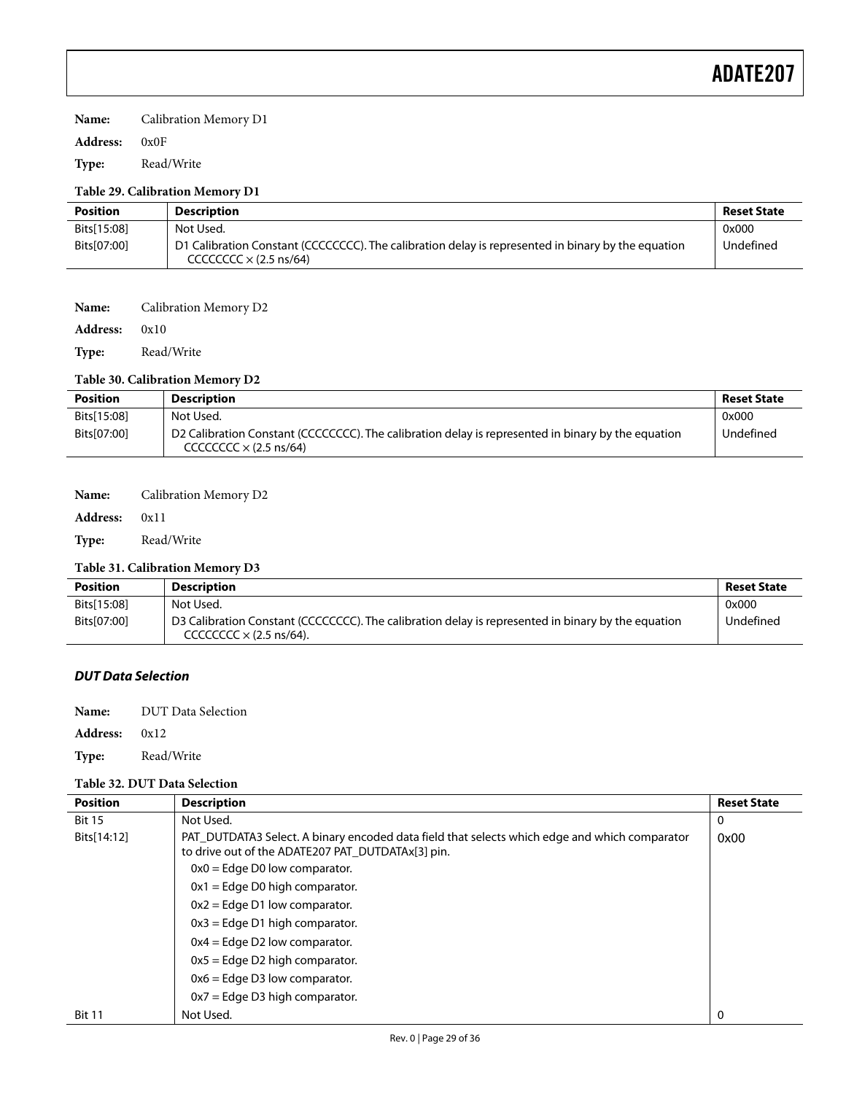#### **Name:** Calibration Memory D1

#### **Address:** 0x0F

**Type:** Read/Write

#### **Table 29. Calibration Memory D1**

| <b>Position</b> | <b>Description</b>                                                                                                                  | <b>Reset State</b> |
|-----------------|-------------------------------------------------------------------------------------------------------------------------------------|--------------------|
| Bits[15:08]     | Not Used.                                                                                                                           | 0x000              |
| Bits[07:00]     | D1 Calibration Constant (CCCCCCCC). The calibration delay is represented in binary by the equation<br>CCCCCCCC $\times$ (2.5 ns/64) | Undefined          |

#### **Name:** Calibration Memory D2

**Address:** 0x10

**Type:** Read/Write

#### **Table 30. Calibration Memory D2**

| <b>Position</b> | <b>Description</b>                                                                                                                         | <b>Reset State</b> |
|-----------------|--------------------------------------------------------------------------------------------------------------------------------------------|--------------------|
| Bits[15:08]     | Not Used.                                                                                                                                  | 0x000              |
| Bits[07:00]     | D2 Calibration Constant (CCCCCCCC). The calibration delay is represented in binary by the equation<br>$CCCCCCC \times (2.5 \text{ ns/64})$ | Undefined          |

#### **Name:** Calibration Memory D2

#### **Address:** 0x11

**Type:** Read/Write

#### **Table 31. Calibration Memory D3**

| Position    | <b>Description</b>                                                                                                                   | <b>Reset State</b> |
|-------------|--------------------------------------------------------------------------------------------------------------------------------------|--------------------|
| Bits[15:08] | Not Used.                                                                                                                            | 0x000              |
| Bits[07:00] | D3 Calibration Constant (CCCCCCCC). The calibration delay is represented in binary by the equation<br>CCCCCCCC $\times$ (2.5 ns/64). | Undefined          |

#### **DUT Data Selection**

- **Name:** DUT Data Selection
- **Address:** 0x12

**Type:** Read/Write

#### **Table 32. DUT Data Selection**

| <b>Position</b> | <b>Description</b>                                                                                                                                 | <b>Reset State</b> |
|-----------------|----------------------------------------------------------------------------------------------------------------------------------------------------|--------------------|
| <b>Bit 15</b>   | Not Used.                                                                                                                                          | 0                  |
| Bits[14:12]     | PAT_DUTDATA3 Select. A binary encoded data field that selects which edge and which comparator<br>to drive out of the ADATE207 PAT DUTDATAx[3] pin. | 0x00               |
|                 | $0x0 = Edge D0$ low comparator.                                                                                                                    |                    |
|                 | $0x1 = Edge D0$ high comparator.                                                                                                                   |                    |
|                 | $0x2 = Edge D1$ low comparator.                                                                                                                    |                    |
|                 | $0x3$ = Edge D1 high comparator.                                                                                                                   |                    |
|                 | $0x4 = Edge D2 low comparator.$                                                                                                                    |                    |
|                 | $0x5 =$ Edge D2 high comparator.                                                                                                                   |                    |
|                 | $0x6 =$ Edge D3 low comparator.                                                                                                                    |                    |
|                 | $0x7$ = Edge D3 high comparator.                                                                                                                   |                    |
| <b>Bit 11</b>   | Not Used.                                                                                                                                          | 0                  |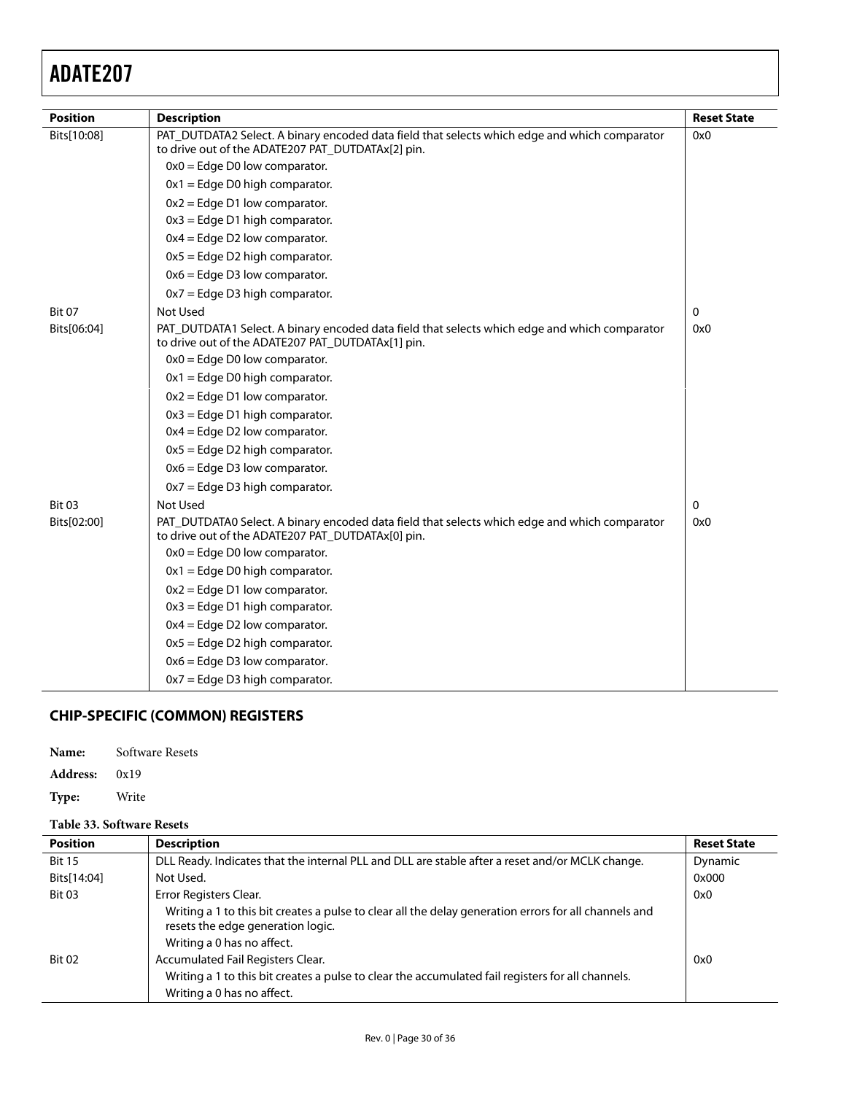<span id="page-29-0"></span>

| <b>Position</b> | <b>Description</b>                                                                                                                                 | <b>Reset State</b> |
|-----------------|----------------------------------------------------------------------------------------------------------------------------------------------------|--------------------|
| Bits[10:08]     | PAT_DUTDATA2 Select. A binary encoded data field that selects which edge and which comparator<br>to drive out of the ADATE207 PAT_DUTDATAx[2] pin. | 0x0                |
|                 | $0x0 = Edge D0$ low comparator.                                                                                                                    |                    |
|                 | $0x1 = Edge D0$ high comparator.                                                                                                                   |                    |
|                 | $0x2 = Edge D1 low comparator.$                                                                                                                    |                    |
|                 | $0x3 = Edge D1$ high comparator.                                                                                                                   |                    |
|                 | $0x4 = Edge D2 low comparator.$                                                                                                                    |                    |
|                 | $0x5 =$ Edge D2 high comparator.                                                                                                                   |                    |
|                 | $0x6 =$ Edge D3 low comparator.                                                                                                                    |                    |
|                 | $0x7 = Edge D3$ high comparator.                                                                                                                   |                    |
| <b>Bit 07</b>   | <b>Not Used</b>                                                                                                                                    | 0                  |
| Bits[06:04]     | PAT_DUTDATA1 Select. A binary encoded data field that selects which edge and which comparator<br>to drive out of the ADATE207 PAT_DUTDATAx[1] pin. | 0x0                |
|                 | $0x0 = Edge D0$ low comparator.                                                                                                                    |                    |
|                 | $0x1 = Edge D0$ high comparator.                                                                                                                   |                    |
|                 | $0x2 = Edge D1 low comparator.$                                                                                                                    |                    |
|                 | $0x3 =$ Edge D1 high comparator.                                                                                                                   |                    |
|                 | $0x4 = Edge D2 low comparator.$                                                                                                                    |                    |
|                 | $0x5 =$ Edge D2 high comparator.                                                                                                                   |                    |
|                 | $0x6 =$ Edge D3 low comparator.                                                                                                                    |                    |
|                 | $0x7 = Edge D3$ high comparator.                                                                                                                   |                    |
| <b>Bit 03</b>   | <b>Not Used</b>                                                                                                                                    | $\mathbf 0$        |
| Bits[02:00]     | PAT_DUTDATA0 Select. A binary encoded data field that selects which edge and which comparator<br>to drive out of the ADATE207 PAT_DUTDATAx[0] pin. | 0x0                |
|                 | $0x0 = Edge D0$ low comparator.                                                                                                                    |                    |
|                 | $0x1 = Edge D0$ high comparator.                                                                                                                   |                    |
|                 | $0x2 = Edge D1 low comparator.$                                                                                                                    |                    |
|                 | $0x3 = Edge D1$ high comparator.                                                                                                                   |                    |
|                 | $0x4 = Edge D2 low comparator.$                                                                                                                    |                    |
|                 | $0x5 = Edge D2$ high comparator.                                                                                                                   |                    |
|                 | $0x6 =$ Edge D3 low comparator.                                                                                                                    |                    |
|                 | $0x7 =$ Edge D3 high comparator.                                                                                                                   |                    |

### **CHIP-SPECIFIC (COMMON) REGISTERS**

| Name: | Software Resets |  |
|-------|-----------------|--|
|-------|-----------------|--|

**Address:** 0x19

**Type:** Write

### **Table 33. Software Resets**

| <b>Position</b> | <b>Description</b>                                                                                                                                                       | <b>Reset State</b> |
|-----------------|--------------------------------------------------------------------------------------------------------------------------------------------------------------------------|--------------------|
| <b>Bit 15</b>   | DLL Ready. Indicates that the internal PLL and DLL are stable after a reset and/or MCLK change.                                                                          | Dynamic            |
| Bits[14:04]     | Not Used.                                                                                                                                                                | 0x000              |
| <b>Bit 03</b>   | Error Registers Clear.                                                                                                                                                   | 0x0                |
|                 | Writing a 1 to this bit creates a pulse to clear all the delay generation errors for all channels and<br>resets the edge generation logic.<br>Writing a 0 has no affect. |                    |
| <b>Bit 02</b>   | Accumulated Fail Registers Clear.                                                                                                                                        | 0x0                |
|                 | Writing a 1 to this bit creates a pulse to clear the accumulated fail registers for all channels.<br>Writing a 0 has no affect.                                          |                    |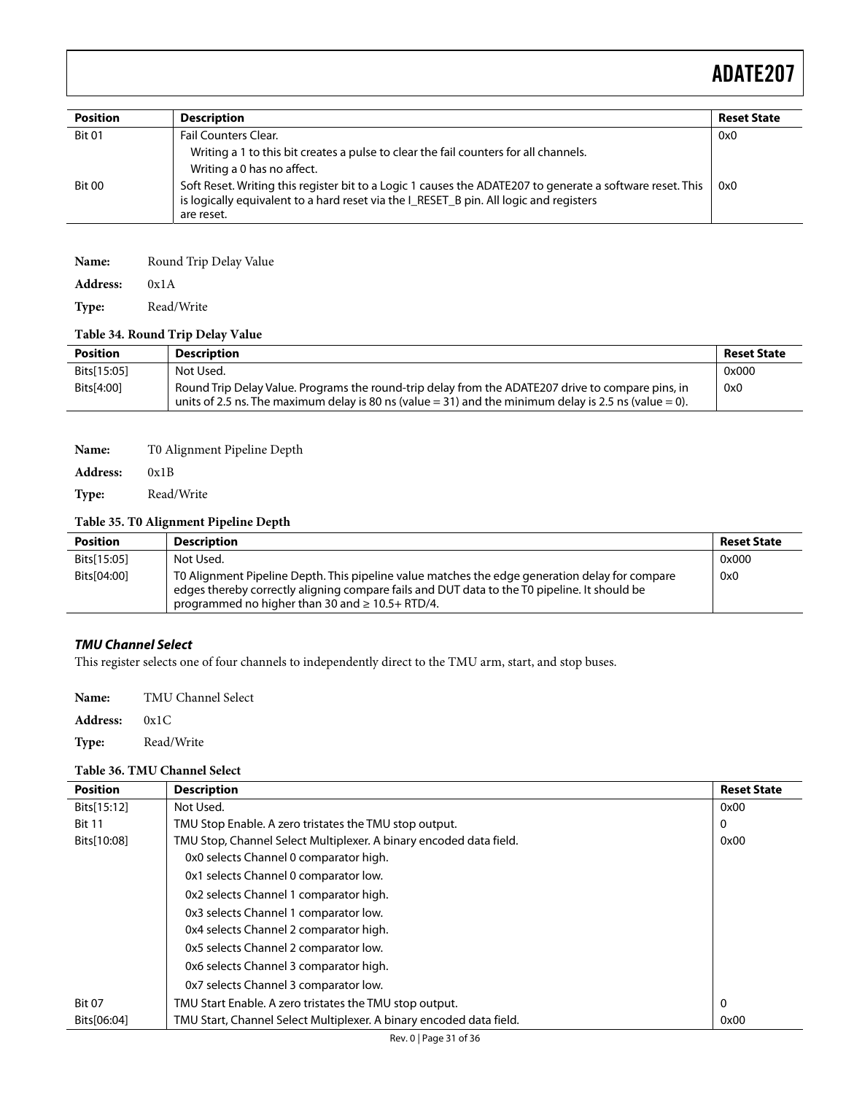| <b>Position</b> | <b>Description</b>                                                                                                                                                                                                                                                                                                                      | <b>Reset State</b> |
|-----------------|-----------------------------------------------------------------------------------------------------------------------------------------------------------------------------------------------------------------------------------------------------------------------------------------------------------------------------------------|--------------------|
| <b>Bit 01</b>   | Fail Counters Clear.                                                                                                                                                                                                                                                                                                                    | 0x0                |
| Bit 00          | Writing a 1 to this bit creates a pulse to clear the fail counters for all channels.<br>Writing a 0 has no affect.<br>Soft Reset. Writing this register bit to a Logic 1 causes the ADATE207 to generate a software reset. This<br>is logically equivalent to a hard reset via the I_RESET_B pin. All logic and registers<br>are reset. | 0x0                |

| Name:           | Round Trip Delay Value |
|-----------------|------------------------|
| <b>Address:</b> | 0x1A                   |

**Type:** Read/Write

#### **Table 34. Round Trip Delay Value**

| <b>Position</b> | <b>Description</b>                                                                                                                                                                                         | <b>Reset State</b> |
|-----------------|------------------------------------------------------------------------------------------------------------------------------------------------------------------------------------------------------------|--------------------|
| Bits[15:05]     | Not Used.                                                                                                                                                                                                  | 0x000              |
| Bits[4:00]      | Round Trip Delay Value. Programs the round-trip delay from the ADATE207 drive to compare pins, in<br>units of 2.5 ns. The maximum delay is 80 ns (value = 31) and the minimum delay is 2.5 ns (value = 0). | 0x0                |

| Name:           | T0 Alignment Pipeline Depth |
|-----------------|-----------------------------|
| <b>Address:</b> | 0x1B                        |

**Type:** Read/Write

#### **Table 35. T0 Alignment Pipeline Depth**

| <b>Position</b> | <b>Description</b>                                                                                                                                                                                                                                      | <b>Reset State</b> |
|-----------------|---------------------------------------------------------------------------------------------------------------------------------------------------------------------------------------------------------------------------------------------------------|--------------------|
| Bits[15:05]     | Not Used.                                                                                                                                                                                                                                               | 0x000              |
| Bits[04:00]     | TO Alignment Pipeline Depth. This pipeline value matches the edge generation delay for compare<br>edges thereby correctly aligning compare fails and DUT data to the T0 pipeline. It should be<br>programmed no higher than 30 and $\geq 10.5 +$ RTD/4. | 0x0                |

#### **TMU Channel Select**

This register selects one of four channels to independently direct to the TMU arm, start, and stop buses.

**Name:** TMU Channel Select

**Address:** 0x1C

**Type:** Read/Write

#### **Table 36. TMU Channel Select**

| <b>Position</b> | <b>Description</b>                                                  | <b>Reset State</b> |
|-----------------|---------------------------------------------------------------------|--------------------|
| Bits[15:12]     | Not Used.                                                           |                    |
| <b>Bit 11</b>   | TMU Stop Enable. A zero tristates the TMU stop output.              | 0                  |
| Bits[10:08]     | TMU Stop, Channel Select Multiplexer. A binary encoded data field.  | 0x00               |
|                 | 0x0 selects Channel 0 comparator high.                              |                    |
|                 | 0x1 selects Channel 0 comparator low.                               |                    |
|                 | Ox2 selects Channel 1 comparator high.                              |                    |
|                 | 0x3 selects Channel 1 comparator low.                               |                    |
|                 | 0x4 selects Channel 2 comparator high.                              |                    |
|                 | 0x5 selects Channel 2 comparator low.                               |                    |
|                 | 0x6 selects Channel 3 comparator high.                              |                    |
|                 | 0x7 selects Channel 3 comparator low.                               |                    |
| <b>Bit 07</b>   | TMU Start Enable. A zero tristates the TMU stop output.             | 0                  |
| Bits[06:04]     | TMU Start, Channel Select Multiplexer. A binary encoded data field. | 0x00               |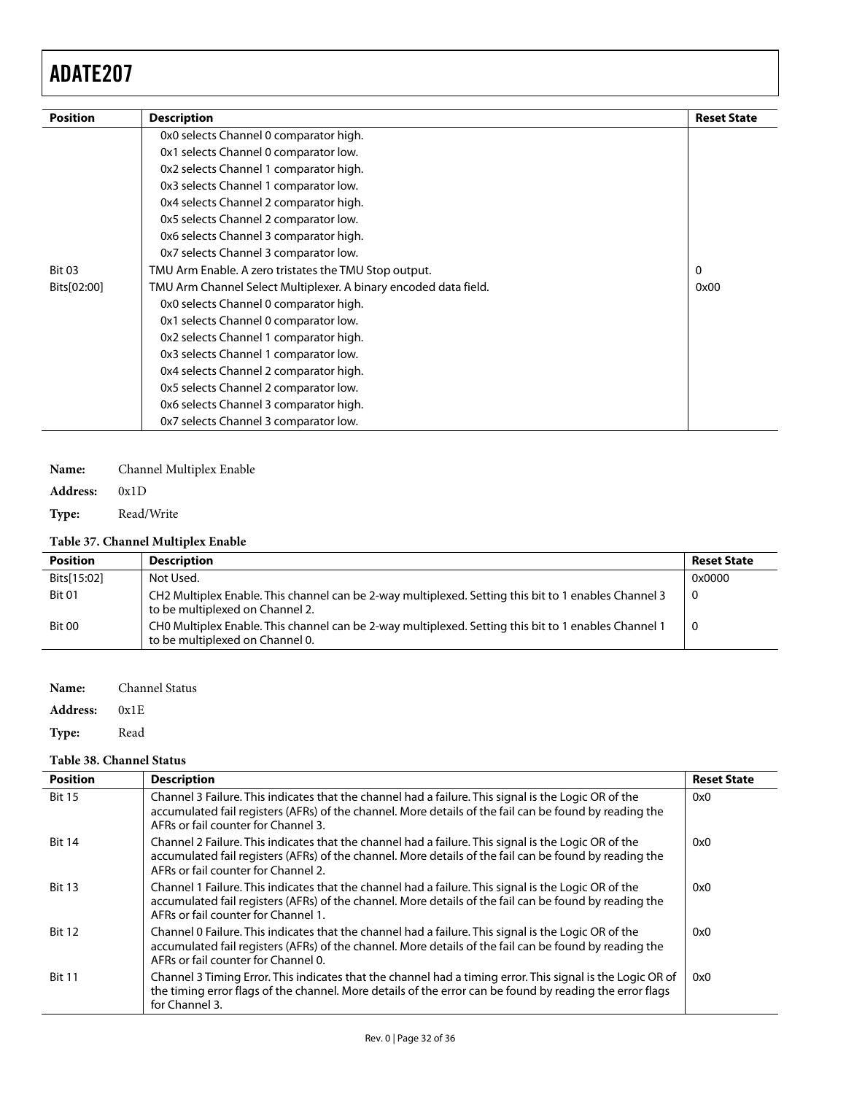| <b>Position</b>                        | <b>Description</b>                                                              | <b>Reset State</b> |  |
|----------------------------------------|---------------------------------------------------------------------------------|--------------------|--|
|                                        | 0x0 selects Channel 0 comparator high.                                          |                    |  |
|                                        | 0x1 selects Channel 0 comparator low.                                           |                    |  |
|                                        | 0x2 selects Channel 1 comparator high.                                          |                    |  |
|                                        | 0x3 selects Channel 1 comparator low.<br>0x4 selects Channel 2 comparator high. |                    |  |
|                                        |                                                                                 |                    |  |
|                                        | 0x5 selects Channel 2 comparator low.                                           |                    |  |
| 0x6 selects Channel 3 comparator high. |                                                                                 |                    |  |
|                                        | 0x7 selects Channel 3 comparator low.                                           |                    |  |
| <b>Bit 03</b>                          | TMU Arm Enable. A zero tristates the TMU Stop output.                           | 0                  |  |
| Bits[02:00]                            | TMU Arm Channel Select Multiplexer. A binary encoded data field.                | 0x00               |  |
|                                        | 0x0 selects Channel 0 comparator high.                                          |                    |  |
|                                        | 0x1 selects Channel 0 comparator low.                                           |                    |  |
|                                        | 0x2 selects Channel 1 comparator high.                                          |                    |  |
|                                        | 0x3 selects Channel 1 comparator low.                                           |                    |  |
|                                        | 0x4 selects Channel 2 comparator high.                                          |                    |  |
|                                        | 0x5 selects Channel 2 comparator low.                                           |                    |  |
|                                        | 0x6 selects Channel 3 comparator high.                                          |                    |  |
|                                        | 0x7 selects Channel 3 comparator low.                                           |                    |  |

### **Name:** Channel Multiplex Enable

**Address:** 0x1D

**Type:** Read/Write

### **Table 37. Channel Multiplex Enable**

| <b>Position</b> | <b>Description</b>                                                                                                                      | <b>Reset State</b> |
|-----------------|-----------------------------------------------------------------------------------------------------------------------------------------|--------------------|
| Bits[15:02]     | Not Used.                                                                                                                               | 0x0000             |
| <b>Bit 01</b>   | CH2 Multiplex Enable. This channel can be 2-way multiplexed. Setting this bit to 1 enables Channel 3<br>to be multiplexed on Channel 2. | - 0                |
| <b>Bit 00</b>   | CHO Multiplex Enable. This channel can be 2-way multiplexed. Setting this bit to 1 enables Channel 1<br>to be multiplexed on Channel 0. | - 0                |

**Name:** Channel Status **Address:** 0x1E Type: Read

#### **Table 38. Channel Status**

| <b>Position</b> | <b>Description</b>                                                                                                                                                                                                                                    | <b>Reset State</b> |
|-----------------|-------------------------------------------------------------------------------------------------------------------------------------------------------------------------------------------------------------------------------------------------------|--------------------|
| <b>Bit 15</b>   | Channel 3 Failure. This indicates that the channel had a failure. This signal is the Logic OR of the<br>accumulated fail registers (AFRs) of the channel. More details of the fail can be found by reading the<br>AFRs or fail counter for Channel 3. | 0x0                |
| <b>Bit 14</b>   | Channel 2 Failure. This indicates that the channel had a failure. This signal is the Logic OR of the<br>accumulated fail registers (AFRs) of the channel. More details of the fail can be found by reading the<br>AFRs or fail counter for Channel 2. | 0x0                |
| <b>Bit 13</b>   | Channel 1 Failure. This indicates that the channel had a failure. This signal is the Logic OR of the<br>accumulated fail registers (AFRs) of the channel. More details of the fail can be found by reading the<br>AFRs or fail counter for Channel 1. | 0x0                |
| <b>Bit 12</b>   | Channel 0 Failure. This indicates that the channel had a failure. This signal is the Logic OR of the<br>accumulated fail registers (AFRs) of the channel. More details of the fail can be found by reading the<br>AFRs or fail counter for Channel 0. | 0x0                |
| <b>Bit 11</b>   | Channel 3 Timing Error. This indicates that the channel had a timing error. This signal is the Logic OR of<br>the timing error flags of the channel. More details of the error can be found by reading the error flags<br>for Channel 3.              | 0x0                |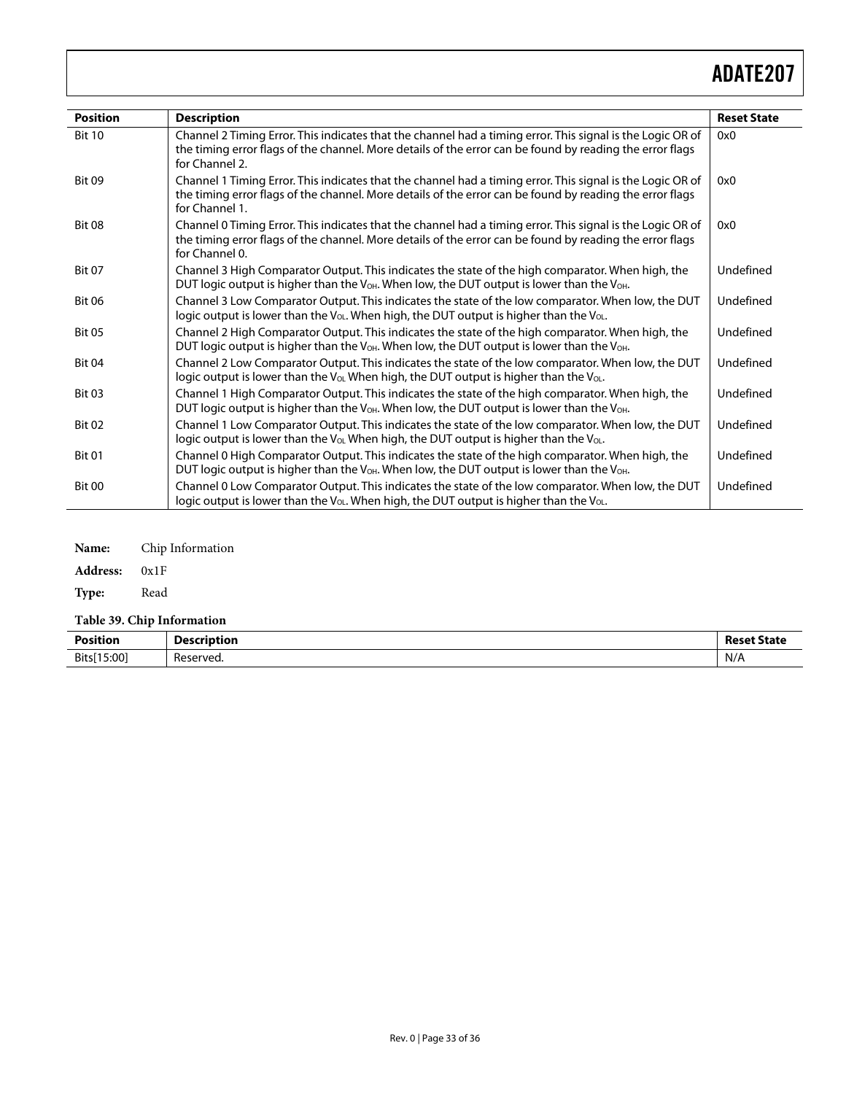| <b>Position</b> | <b>Description</b>                                                                                                                                                                                                                       | <b>Reset State</b> |
|-----------------|------------------------------------------------------------------------------------------------------------------------------------------------------------------------------------------------------------------------------------------|--------------------|
| <b>Bit 10</b>   | Channel 2 Timing Error. This indicates that the channel had a timing error. This signal is the Logic OR of<br>the timing error flags of the channel. More details of the error can be found by reading the error flags<br>for Channel 2. | 0x0                |
| <b>Bit 09</b>   | Channel 1 Timing Error. This indicates that the channel had a timing error. This signal is the Logic OR of<br>the timing error flags of the channel. More details of the error can be found by reading the error flags<br>for Channel 1. | 0x0                |
| <b>Bit 08</b>   | Channel 0 Timing Error. This indicates that the channel had a timing error. This signal is the Logic OR of<br>the timing error flags of the channel. More details of the error can be found by reading the error flags<br>for Channel 0. | 0x0                |
| <b>Bit 07</b>   | Channel 3 High Comparator Output. This indicates the state of the high comparator. When high, the<br>DUT logic output is higher than the $V_{OH}$ . When low, the DUT output is lower than the $V_{OH}$ .                                | Undefined          |
| <b>Bit 06</b>   | Channel 3 Low Comparator Output. This indicates the state of the low comparator. When low, the DUT<br>logic output is lower than the V <sub>OL</sub> . When high, the DUT output is higher than the V <sub>OL</sub> .                    | Undefined          |
| <b>Bit 05</b>   | Channel 2 High Comparator Output. This indicates the state of the high comparator. When high, the<br>DUT logic output is higher than the $V_{OH}$ . When low, the DUT output is lower than the $V_{OH}$ .                                | Undefined          |
| <b>Bit 04</b>   | Channel 2 Low Comparator Output. This indicates the state of the low comparator. When low, the DUT<br>logic output is lower than the $V_{OL}$ When high, the DUT output is higher than the $V_{OL}$ .                                    | Undefined          |
| <b>Bit 03</b>   | Channel 1 High Comparator Output. This indicates the state of the high comparator. When high, the<br>DUT logic output is higher than the $V_{OH}$ . When low, the DUT output is lower than the $V_{OH}$ .                                | Undefined          |
| <b>Bit 02</b>   | Channel 1 Low Comparator Output. This indicates the state of the low comparator. When low, the DUT<br>logic output is lower than the V <sub>OL</sub> When high, the DUT output is higher than the V <sub>OL</sub> .                      | Undefined          |
| <b>Bit 01</b>   | Channel 0 High Comparator Output. This indicates the state of the high comparator. When high, the<br>DUT logic output is higher than the $V_{OH}$ . When low, the DUT output is lower than the $V_{OH}$ .                                | Undefined          |
| <b>Bit 00</b>   | Channel 0 Low Comparator Output. This indicates the state of the low comparator. When low, the DUT<br>logic output is lower than the $V_{OL}$ . When high, the DUT output is higher than the $V_{OL}$ .                                  | Undefined          |

**Name:** Chip Information

**Address:** 0x1F

Type: Read

**Table 39. Chip Information** 

| Position<br>.        | -<br><b>Description</b><br>. . | <b>Reset State</b> |
|----------------------|--------------------------------|--------------------|
| 15:00<br><b>Bits</b> | -<br>Reserved.<br>.            | N/A                |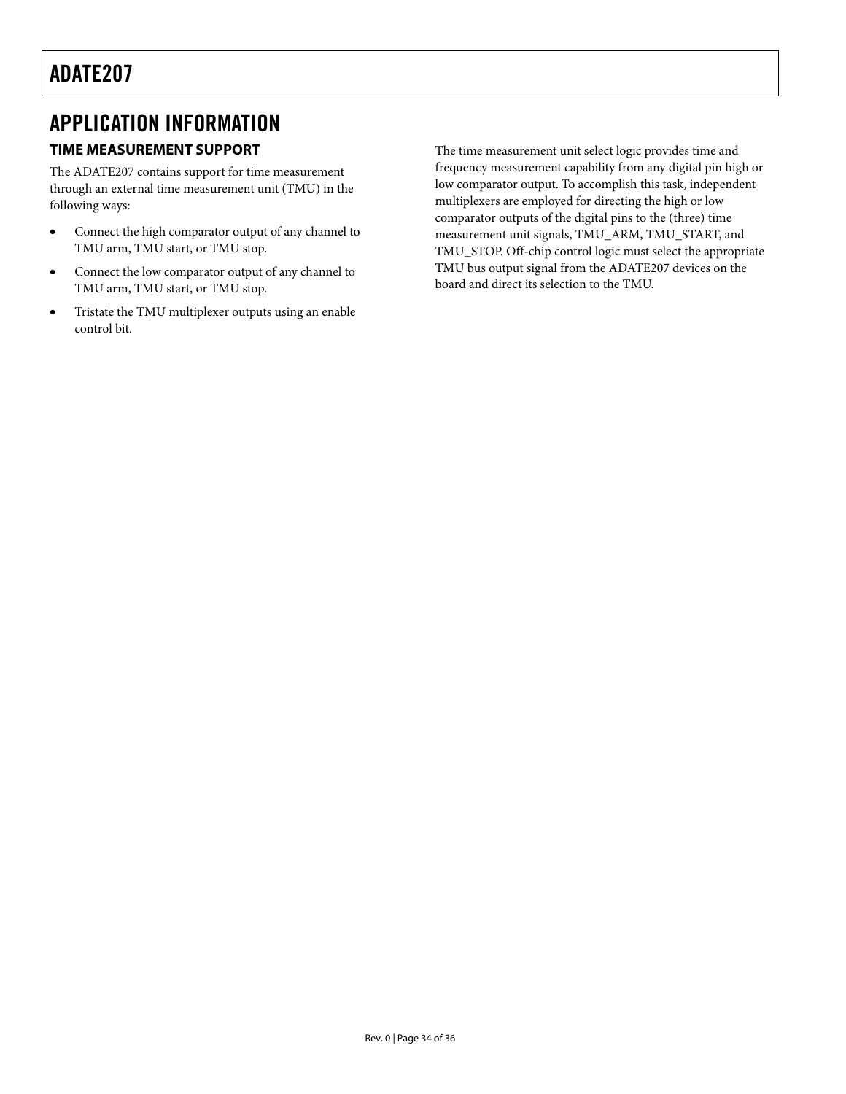### <span id="page-33-0"></span>APPLICATION INFORMATION

### **TIME MEASUREMENT SUPPORT**

The ADATE207 contains support for time measurement through an external time measurement unit (TMU) in the following ways:

- Connect the high comparator output of any channel to TMU arm, TMU start, or TMU stop.
- Connect the low comparator output of any channel to TMU arm, TMU start, or TMU stop.
- Tristate the TMU multiplexer outputs using an enable control bit.

The time measurement unit select logic provides time and frequency measurement capability from any digital pin high or low comparator output. To accomplish this task, independent multiplexers are employed for directing the high or low comparator outputs of the digital pins to the (three) time measurement unit signals, TMU\_ARM, TMU\_START, and TMU\_STOP. Off-chip control logic must select the appropriate TMU bus output signal from the ADATE207 devices on the board and direct its selection to the TMU.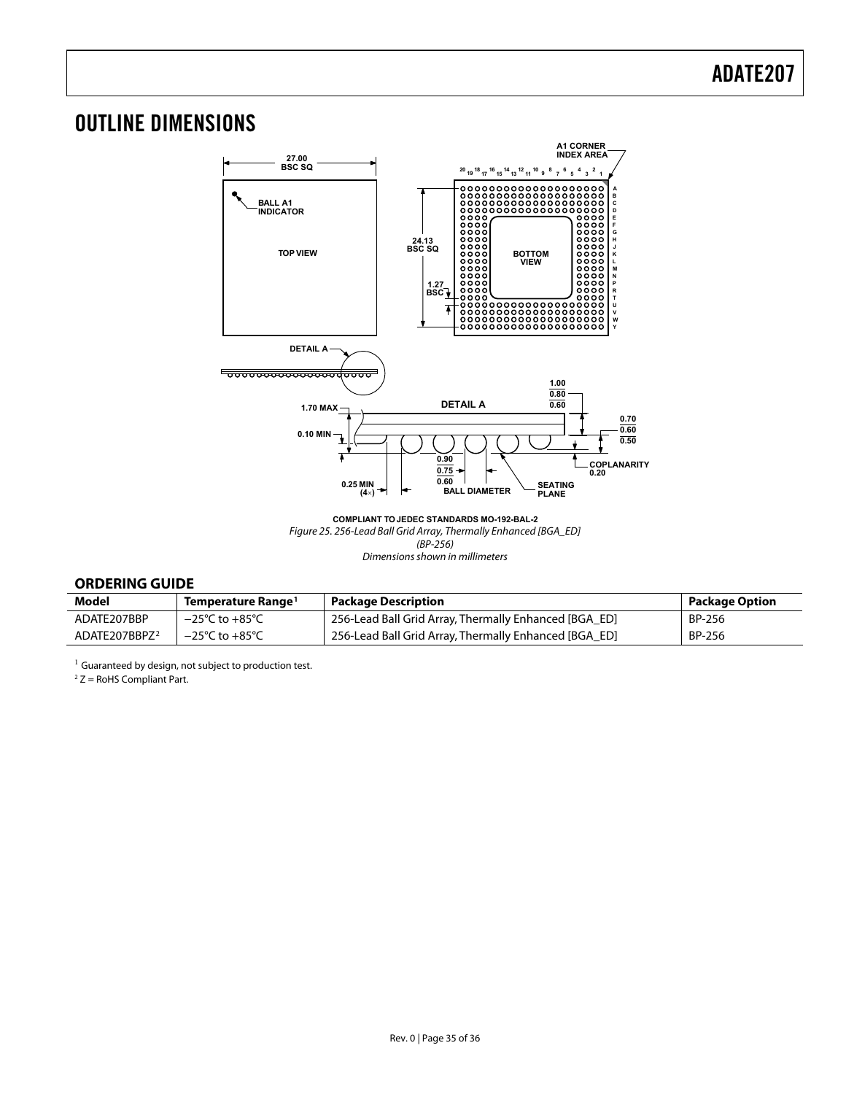## <span id="page-34-0"></span>OUTLINE DIMENSIONS



**COMPLIANT TO JEDEC STANDARDS MO-192-BAL-2** Figure 25. 256-Lead Ball Grid Array, Thermally Enhanced [BGA\_ED] (BP-256) Dimensions shown in millimeters

### **ORDERING GUIDE**

| Model                     | Temperature Range <sup>1</sup>     | <b>Package Description</b>                            | Package Option |
|---------------------------|------------------------------------|-------------------------------------------------------|----------------|
| ADATE207BBP               | $-25^{\circ}$ C to $+85^{\circ}$ C | 256-Lead Ball Grid Array, Thermally Enhanced [BGA_ED] | BP-256         |
| ADATE207BBPZ <sup>2</sup> | $-25^{\circ}$ C to $+85^{\circ}$ C | 256-Lead Ball Grid Array, Thermally Enhanced [BGA ED] | BP-256         |

 $1$  Guaranteed by design, not subject to production test.

 $2 Z =$  RoHS Compliant Part.